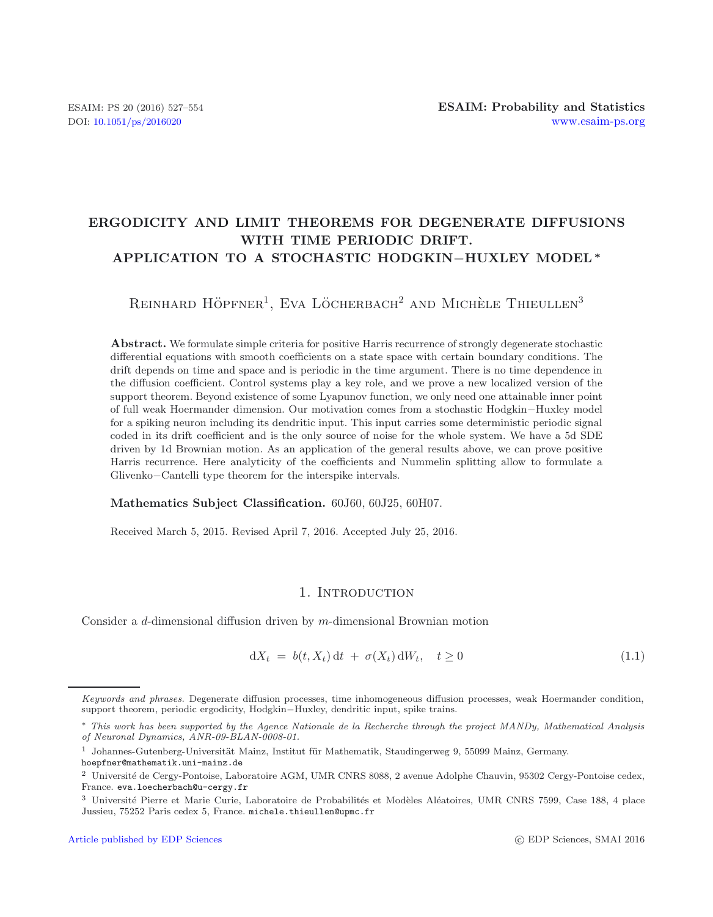# **ERGODICITY AND LIMIT THEOREMS FOR DEGENERATE DIFFUSIONS WITH TIME PERIODIC DRIFT. APPLICATION TO A STOCHASTIC HODGKIN***−***HUXLEY MODEL***<sup>∗</sup>*

REINHARD HÖPFNER<sup>1</sup>, EVA LÖCHERBACH<sup>2</sup> AND MICHÈLE THIEULLEN<sup>3</sup>

**Abstract.** We formulate simple criteria for positive Harris recurrence of strongly degenerate stochastic differential equations with smooth coefficients on a state space with certain boundary conditions. The drift depends on time and space and is periodic in the time argument. There is no time dependence in the diffusion coefficient. Control systems play a key role, and we prove a new localized version of the support theorem. Beyond existence of some Lyapunov function, we only need one attainable inner point of full weak Hoermander dimension. Our motivation comes from a stochastic Hodgkin*−*Huxley model for a spiking neuron including its dendritic input. This input carries some deterministic periodic signal coded in its drift coefficient and is the only source of noise for the whole system. We have a 5d SDE driven by 1d Brownian motion. As an application of the general results above, we can prove positive Harris recurrence. Here analyticity of the coefficients and Nummelin splitting allow to formulate a Glivenko*−*Cantelli type theorem for the interspike intervals.

### **Mathematics Subject Classification.** 60J60, 60J25, 60H07.

Received March 5, 2015. Revised April 7, 2016. Accepted July 25, 2016.

## <span id="page-0-0"></span>1. INTRODUCTION

Consider a d-dimensional diffusion driven by m-dimensional Brownian motion

$$
dX_t = b(t, X_t) dt + \sigma(X_t) dW_t, \quad t \ge 0
$$
\n(1.1)

Keywords and phrases. Degenerate diffusion processes, time inhomogeneous diffusion processes, weak Hoermander condition, support theorem, periodic ergodicity, Hodgkin−Huxley, dendritic input, spike trains.

<sup>∗</sup> This work has been supported by the Agence Nationale de la Recherche through the project MANDy, Mathematical Analysis of Neuronal Dynamics, ANR-09-BLAN-0008-01.

 $1$  Johannes-Gutenberg-Universität Mainz, Institut für Mathematik, Staudingerweg 9, 55099 Mainz, Germany.

hoepfner@mathematik.uni-mainz.de

<sup>&</sup>lt;sup>2</sup> Université de Cergy-Pontoise, Laboratoire AGM, UMR CNRS 8088, 2 avenue Adolphe Chauvin, 95302 Cergy-Pontoise cedex, France. eva.loecherbach@u-cergy.fr

<sup>&</sup>lt;sup>3</sup> Université Pierre et Marie Curie, Laboratoire de Probabilités et Modèles Aléatoires, UMR CNRS 7599, Case 188, 4 place Jussieu, 75252 Paris cedex 5, France. michele.thieullen@upmc.fr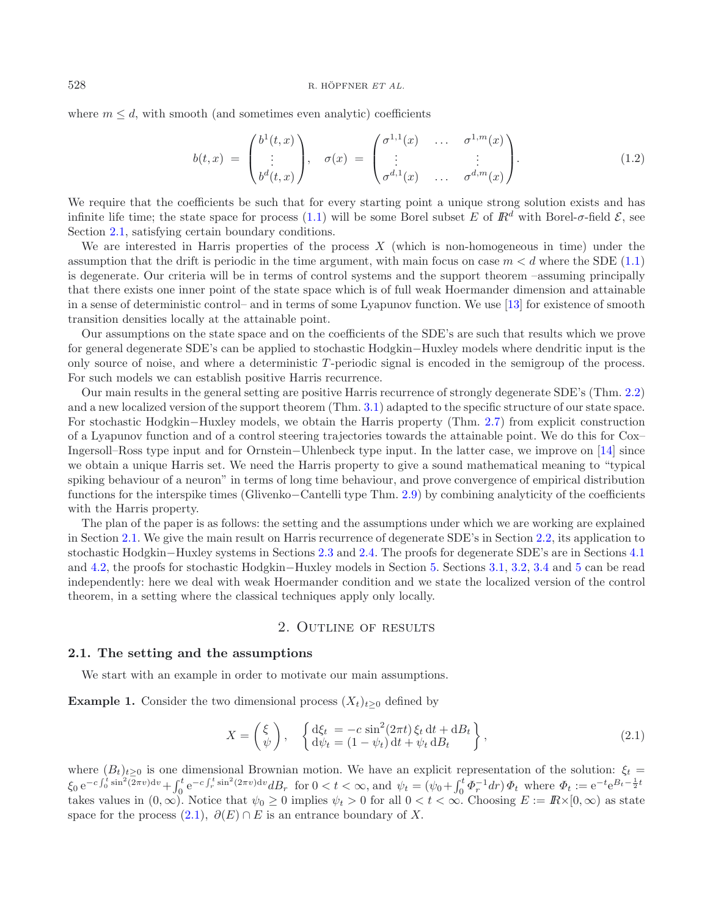where  $m \leq d$ , with smooth (and sometimes even analytic) coefficients

<span id="page-1-3"></span>
$$
b(t,x) = \begin{pmatrix} b^1(t,x) \\ \vdots \\ b^d(t,x) \end{pmatrix}, \quad \sigma(x) = \begin{pmatrix} \sigma^{1,1}(x) & \dots & \sigma^{1,m}(x) \\ \vdots & & \vdots \\ \sigma^{d,1}(x) & \dots & \sigma^{d,m}(x) \end{pmatrix}.
$$
 (1.2)

We require that the coefficients be such that for every starting point a unique strong solution exists and has infinite life time; the state space for process [\(1.1\)](#page-0-0) will be some Borel subset E of  $\mathbb{R}^d$  with Borel- $\sigma$ -field  $\mathcal{E}$ , see Section [2.1,](#page-1-0) satisfying certain boundary conditions.

We are interested in Harris properties of the process  $X$  (which is non-homogeneous in time) under the assumption that the drift is periodic in the time argument, with main focus on case  $m < d$  where the SDE [\(1.1\)](#page-0-0) is degenerate. Our criteria will be in terms of control systems and the support theorem –assuming principally that there exists one inner point of the state space which is of full weak Hoermander dimension and attainable in a sense of deterministic control– and in terms of some Lyapunov function. We use [\[13\]](#page-26-0) for existence of smooth transition densities locally at the attainable point.

Our assumptions on the state space and on the coefficients of the SDE's are such that results which we prove for general degenerate SDE's can be applied to stochastic Hodgkin−Huxley models where dendritic input is the only source of noise, and where a deterministic T -periodic signal is encoded in the semigroup of the process. For such models we can establish positive Harris recurrence.

Our main results in the general setting are positive Harris recurrence of strongly degenerate SDE's (Thm. [2.2\)](#page-4-0) and a new localized version of the support theorem (Thm. [3.1\)](#page-9-0) adapted to the specific structure of our state space. For stochastic Hodgkin−Huxley models, we obtain the Harris property (Thm. [2.7\)](#page-7-0) from explicit construction of a Lyapunov function and of a control steering trajectories towards the attainable point. We do this for Cox– Ingersoll–Ross type input and for Ornstein−Uhlenbeck type input. In the latter case, we improve on [\[14\]](#page-26-1) since we obtain a unique Harris set. We need the Harris property to give a sound mathematical meaning to "typical spiking behaviour of a neuron" in terms of long time behaviour, and prove convergence of empirical distribution functions for the interspike times (Glivenko−Cantelli type Thm. [2.9\)](#page-8-0) by combining analyticity of the coefficients with the Harris property.

The plan of the paper is as follows: the setting and the assumptions under which we are working are explained in Section [2.1.](#page-1-0) We give the main result on Harris recurrence of degenerate SDE's in Section [2.2,](#page-4-1) its application to stochastic Hodgkin−Huxley systems in Sections [2.3](#page-5-0) and [2.4.](#page-7-1) The proofs for degenerate SDE's are in Sections [4.1](#page-14-0) and [4.2,](#page-15-0) the proofs for stochastic Hodgkin−Huxley models in Section [5.](#page-16-0) Sections [3.1,](#page-9-1) [3.2,](#page-10-0) [3.4](#page-13-0) and [5](#page-23-0) can be read independently: here we deal with weak Hoermander condition and we state the localized version of the control theorem, in a setting where the classical techniques apply only locally.

## <span id="page-1-1"></span>2. Outline of results

## <span id="page-1-2"></span><span id="page-1-0"></span>**2.1. The setting and the assumptions**

We start with an example in order to motivate our main assumptions.

**Example 1.** Consider the two dimensional process  $(X_t)_{t\geq0}$  defined by

$$
X = \begin{pmatrix} \xi \\ \psi \end{pmatrix}, \quad \begin{cases} d\xi_t = -c\sin^2(2\pi t)\xi_t dt + dB_t \\ d\psi_t = (1 - \psi_t) dt + \psi_t dB_t \end{cases}, \tag{2.1}
$$

where  $(B_t)_{t\geq 0}$  is one dimensional Brownian motion. We have an explicit representation of the solution:  $\xi_t =$  $\xi_0 e^{-c\int_0^t \sin^2(2\pi v) dv} + \int_0^t e^{-c\int_r^t \sin^2(2\pi v) dv} dB_r$  for  $0 < t < \infty$ , and  $\psi_t = (\psi_0 + \int_0^t \Phi_r^{-1} dr) \Phi_t$  where  $\Phi_t := e^{-t} e^{B_t - \frac{1}{2}t}$ takes values in  $(0, \infty)$ . Notice that  $\psi_0 \geq 0$  implies  $\psi_t > 0$  for all  $0 < t < \infty$ . Choosing  $E := \mathbb{R} \times [0, \infty)$  as state space for the process  $(2.1), \partial(E) \cap E$  $(2.1), \partial(E) \cap E$  is an entrance boundary of X.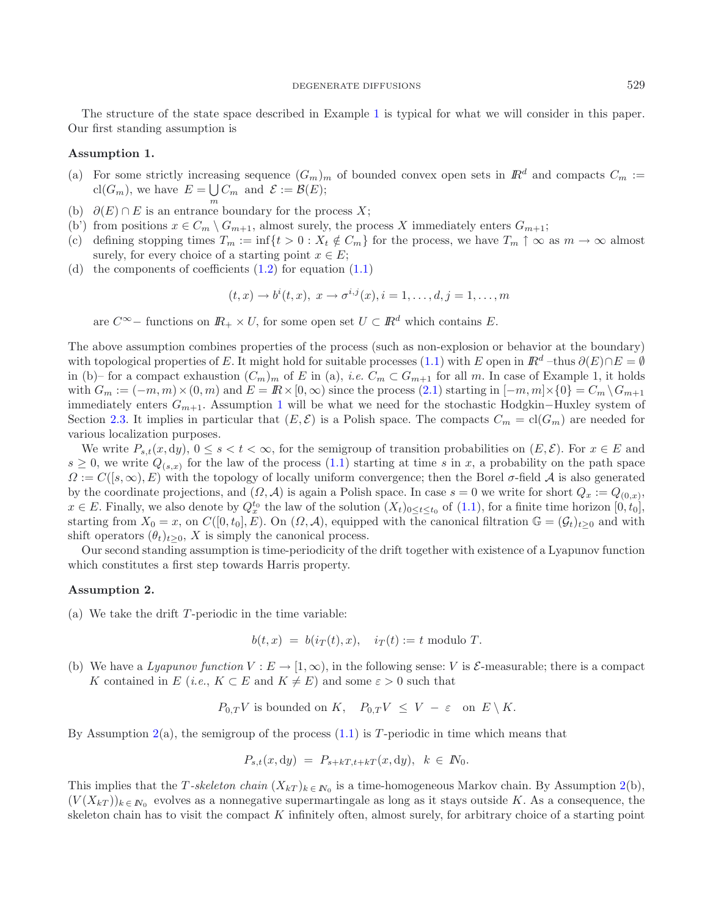<span id="page-2-0"></span>The structure of the state space described in Example [1](#page-1-2) is typical for what we will consider in this paper. Our first standing assumption is

## **Assumption 1.**

- (a) For some strictly increasing sequence  $(G_m)_{m}$  of bounded convex open sets in  $\mathbb{R}^d$  and compacts  $C_m$  := cl( $G_m$ ), we have  $E = \bigcup C_m$  and  $\mathcal{E} := \mathcal{B}(E)$ ;
- (b)  $\partial(E) \cap E$  is an entrance boundary for the process X;
- (b') from positions  $x \in C_m \setminus G_{m+1}$ , almost surely, the process X immediately enters  $G_{m+1}$ ;
- (c) defining stopping times  $T_m := \inf\{t > 0 : X_t \notin C_m\}$  for the process, we have  $T_m \uparrow \infty$  as  $m \to \infty$  almost surely, for every choice of a starting point  $x \in E$ ;
- (d) the components of coefficients  $(1.2)$  for equation  $(1.1)$

$$
(t,x) \to b^i(t,x), \ x \to \sigma^{i,j}(x), i = 1,\ldots,d, j = 1,\ldots,m
$$

are  $C^{\infty}$  – functions on  $\mathbb{R}_+ \times U$ , for some open set  $U \subset \mathbb{R}^d$  which contains E.

The above assumption combines properties of the process (such as non-explosion or behavior at the boundary) with topological properties of E. It might hold for suitable processes [\(1.1\)](#page-0-0) with E open in  $\mathbb{R}^d$  –thus  $\partial(E) \cap E = \emptyset$ in (b)– for a compact exhaustion  $(C_m)_m$  of E in (a), *i.e.*  $C_m \subset G_{m+1}$  for all m. In case of Example 1, it holds with  $G_m := (-m, m) \times (0, m)$  and  $E = \mathbb{R} \times [0, \infty)$  since the process  $(2.1)$  starting in  $[-m, m] \times \{0\} = C_m \setminus G_{m+1}$ immediately enters  $G_{m+1}$  $G_{m+1}$  $G_{m+1}$ . Assumption 1 will be what we need for the stochastic Hodgkin–Huxley system of Section [2.3.](#page-5-0) It implies in particular that  $(E, \mathcal{E})$  is a Polish space. The compacts  $C_m = cl(G_m)$  are needed for various localization purposes.

We write  $P_{s,t}(x, dy), 0 \le s < t < \infty$ , for the semigroup of transition probabilities on  $(E, \mathcal{E})$ . For  $x \in E$  and  $s \geq 0$ , we write  $Q_{(s,x)}$  for the law of the process [\(1.1\)](#page-0-0) starting at time s in x, a probability on the path space  $\Omega := C([s,\infty), E)$  with the topology of locally uniform convergence; then the Borel  $\sigma$ -field A is also generated by the coordinate projections, and  $(\Omega, \mathcal{A})$  is again a Polish space. In case  $s = 0$  we write for short  $Q_x := Q_{(0,x)}$ ,  $x \in E$ . Finally, we also denote by  $Q_x^{t_0}$  the law of the solution  $(X_t)_{0 \le t \le t_0}$  of  $(1.1)$ , for a finite time horizon  $[0, t_0]$ , starting from  $X_0 = x$ , on  $C([0, t_0], E)$ . On  $(\Omega, \mathcal{A})$ , equipped with the canonical filtration  $\mathbb{G} = (\mathcal{G}_t)_{t>0}$  and with shift operators  $(\theta_t)_{t>0}$ , X is simply the canonical process.

<span id="page-2-1"></span>Our second standing assumption is time-periodicity of the drift together with existence of a Lyapunov function which constitutes a first step towards Harris property.

## **Assumption 2.**

(a) We take the drift  $T$ -periodic in the time variable:

$$
b(t,x) = b(i_T(t),x), \quad i_T(t) := t \text{ modulo } T.
$$

(b) We have a *Lyapunov function*  $V : E \to [1, \infty)$ , in the following sense: V is  $\mathcal{E}$ -measurable; there is a compact K contained in E (*i.e.*,  $K \subset E$  and  $K \neq E$ ) and some  $\varepsilon > 0$  such that

 $P_{0,T}V$  is bounded on K,  $P_{0,T}V \leq V - \varepsilon$  on  $E \setminus K$ .

By Assumption  $2(a)$  $2(a)$ , the semigroup of the process  $(1.1)$  is T-periodic in time which means that

$$
P_{s,t}(x,dy) = P_{s+kT,t+kT}(x,dy), \quad k \in \mathbb{N}_0.
$$

This implies that the T-skeleton chain  $(X_{kT})_{k \in N_0}$  is a time-homogeneous Markov chain. By Assumption [2\(](#page-2-1)b),  $(V(X_{kT}))_{k \in \mathbb{N}_0}$  evolves as a nonnegative supermartingale as long as it stays outside K. As a consequence, the skeleton chain has to visit the compact K infinitely often, almost surely, for arbitrary choice of a starting point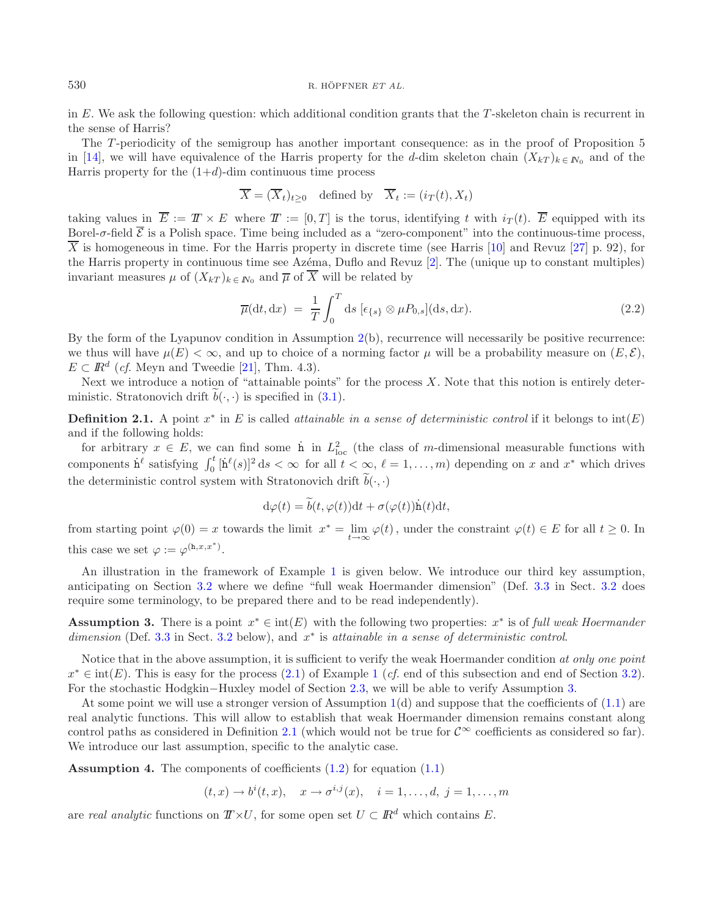in E. We ask the following question: which additional condition grants that the  $T$ -skeleton chain is recurrent in the sense of Harris?

The T-periodicity of the semigroup has another important consequence: as in the proof of Proposition 5 in [\[14](#page-26-1)], we will have equivalence of the Harris property for the d-dim skeleton chain  $(X_{kT})_{k\in N_0}$  and of the Harris property for the  $(1+d)$ -dim continuous time process

$$
\overline{X} = (\overline{X}_t)_{t \geq 0}
$$
 defined by  $\overline{X}_t := (i_T(t), X_t)$ 

taking values in  $\overline{E} := T \times E$  where  $T := [0, T]$  is the torus, identifying t with  $i_T(t)$ .  $\overline{E}$  equipped with its Borel- $\sigma$ -field  $\overline{\mathcal{E}}$  is a Polish space. Time being included as a "zero-component" into the continuous-time process.  $\overline{X}$  is homogeneous in time. For the Harris property in discrete time (see Harris [\[10\]](#page-26-2) and Revuz [\[27\]](#page-27-0) p. 92), for the Harris property in continuous time see Azema, Duflo and Revuz [\[2\]](#page-26-3). The (unique up to constant multiples) invariant measures  $\mu$  of  $(X_{kT})_{k \in \mathbb{N}_0}$  and  $\overline{\mu}$  of  $\overline{X}$  will be related by

$$
\overline{\mu}(\mathrm{d}t, \mathrm{d}x) = \frac{1}{T} \int_0^T \mathrm{d}s \, [\epsilon_{\{s\}} \otimes \mu P_{0,s}] (\mathrm{d}s, \mathrm{d}x). \tag{2.2}
$$

By the form of the Lyapunov condition in Assumption  $2(b)$  $2(b)$ , recurrence will necessarily be positive recurrence: we thus will have  $\mu(E) < \infty$ , and up to choice of a norming factor  $\mu$  will be a probability measure on  $(E, \mathcal{E})$ ,  $E \subset \mathbb{R}^d$  (*cf.* Meyn and Tweedie [\[21](#page-26-4)], Thm. 4.3).

<span id="page-3-1"></span>Next we introduce a notion of "attainable points" for the process  $X$ . Note that this notion is entirely deterministic. Stratonovich drift  $b(\cdot, \cdot)$  is specified in [\(3.1\)](#page-9-2).

**Definition 2.1.** A point  $x^*$  in E is called *attainable in a sense of deterministic control* if it belongs to  $\text{int}(E)$ and if the following holds:

for arbitrary  $x \in E$ , we can find some h in  $L^2_{loc}$  (the class of m-dimensional measurable functions with components  $\dot{h}^{\ell}$  satisfying  $\int_0^t [\dot{h}^{\ell}(s)]^2 ds < \infty$  for all  $t < \infty$ ,  $\ell = 1, \ldots, m$ ) depending on x and x<sup>\*</sup> which drives the deterministic control system with Stratonovich drift  $b(\cdot, \cdot)$ 

$$
d\varphi(t) = \tilde{b}(t, \varphi(t))dt + \sigma(\varphi(t))\dot{h}(t)dt,
$$

from starting point  $\varphi(0) = x$  towards the limit  $x^* = \lim_{t\to\infty} \varphi(t)$ , under the constraint  $\varphi(t) \in E$  for all  $t \ge 0$ . In this case we set  $\varphi := \varphi^{(\mathbf{h},x,x^*)}$ .

An illustration in the framework of Example [1](#page-1-2) is given below. We introduce our third key assumption, anticipating on Section [3.2](#page-10-0) where we define "full weak Hoermander dimension" (Def. [3.3](#page-11-0) in Sect. [3.2](#page-10-0) does require some terminology, to be prepared there and to be read independently).

<span id="page-3-0"></span>**Assumption 3.** There is a point  $x^* \in \text{int}(E)$  with the following two properties:  $x^*$  is of *full weak Hoermander dimension* (Def. [3.3](#page-11-0) in Sect. [3.2](#page-10-0) below), and x<sup>∗</sup> is *attainable in a sense of deterministic control*.

Notice that in the above assumption, it is sufficient to verify the weak Hoermander condition *at only one point*  $x^* \in \text{int}(E)$ . This is easy for the process  $(2.1)$  of Example [1](#page-1-2) (*cf.* end of this subsection and end of Section [3.2\)](#page-10-0). For the stochastic Hodgkin−Huxley model of Section [2.3,](#page-5-0) we will be able to verify Assumption [3.](#page-3-0)

At some point we will use a stronger version of Assumption [1\(](#page-2-0)d) and suppose that the coefficients of [\(1.1\)](#page-0-0) are real analytic functions. This will allow to establish that weak Hoermander dimension remains constant along control paths as considered in Definition [2.1](#page-3-1) (which would not be true for  $\mathcal{C}^{\infty}$  coefficients as considered so far). We introduce our last assumption, specific to the analytic case.

<span id="page-3-2"></span>**Assumption 4.** The components of coefficients  $(1.2)$  for equation  $(1.1)$ 

$$
(t, x) \to b^{i}(t, x), \quad x \to \sigma^{i,j}(x), \quad i = 1, ..., d, j = 1, ..., m
$$

are *real analytic* functions on  $T \times U$ , for some open set  $U \subset \mathbb{R}^d$  which contains E.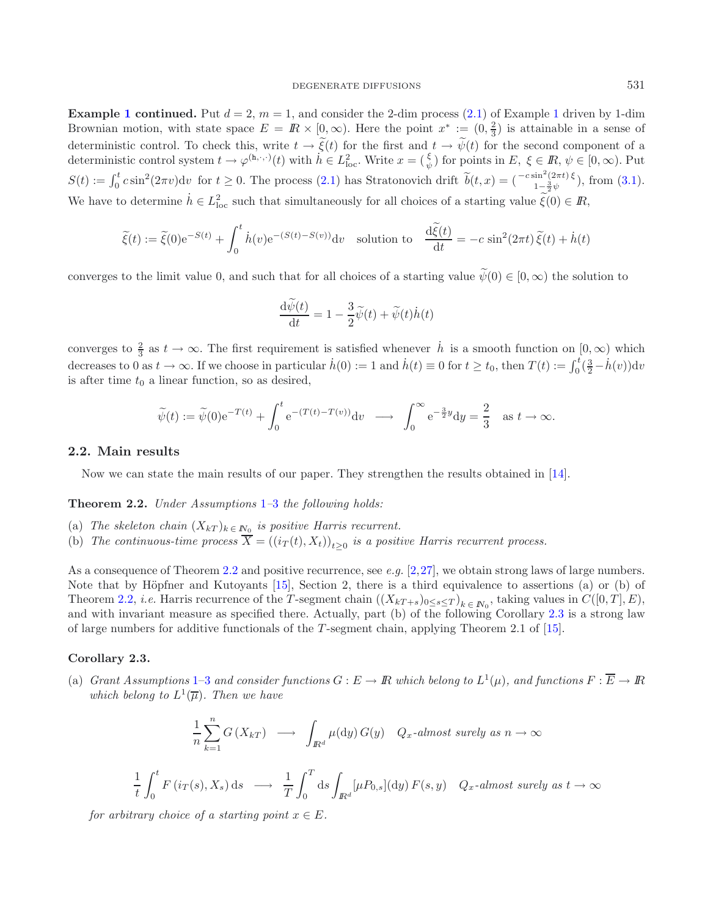### DEGENERATE DIFFUSIONS 531

**Example [1](#page-1-2) continued.** Put  $d = 2$ ,  $m = 1$ , and consider the 2-dim process [\(2.1\)](#page-1-1) of Example 1 driven by 1-dim Brownian motion, with state space  $E = \mathbb{R} \times [0, \infty)$ . Here the point  $x^* := (0, \frac{2}{3})$  is attainable in a sense of deterministic control. To check this, write  $t \to \tilde{\xi}(t)$  for the first and  $t \to \tilde{\psi}(t)$  for the second component of a deterministic control system  $t \to \varphi^{(h,\cdot,\cdot)}(t)$  with  $h \in L^2_{loc}$ . Write  $x = (\frac{\xi}{\psi})$  for points in  $E, \xi \in \mathbb{R}, \psi \in [0,\infty)$ . Put  $S(t) := \int_0^t c \sin^2(2\pi v) dv$  for  $t \ge 0$ . The process [\(2.1\)](#page-1-1) has Stratonovich drift  $\tilde{b}(t,x) = \begin{pmatrix} -c \sin^2(2\pi t) \xi \\ 1 - \frac{3}{2} \psi \end{pmatrix}$ , from [\(3.1\)](#page-9-2). We have to determine  $h \in L^2_{loc}$  such that simultaneously for all choices of a starting value  $\tilde{\xi}(0) \in I\!\!R$ ,

$$
\widetilde{\xi}(t) := \widetilde{\xi}(0)e^{-S(t)} + \int_0^t \dot{h}(v)e^{-(S(t)-S(v))}dv \quad \text{solution to} \quad \frac{\mathrm{d}\widetilde{\xi}(t)}{\mathrm{d}t} = -c\sin^2(2\pi t)\widetilde{\xi}(t) + \dot{h}(t)
$$

converges to the limit value 0, and such that for all choices of a starting value  $\tilde{\psi}(0) \in [0,\infty)$  the solution to

$$
\frac{\mathrm{d}\widetilde{\psi}(t)}{\mathrm{d}t} = 1 - \frac{3}{2}\widetilde{\psi}(t) + \widetilde{\psi}(t)\dot{h}(t)
$$

converges to  $\frac{2}{3}$  as  $t \to \infty$ . The first requirement is satisfied whenever  $\dot{h}$  is a smooth function on  $[0,\infty)$  which decreases to 0 as  $t \to \infty$ . If we choose in particular  $\dot{h}(0) := 1$  and  $\dot{h}(t) \equiv 0$  for  $t \ge t_0$ , then  $T(t) := \int_0^t (\frac{3}{2} - \dot{h}(v)) dv$ is after time  $t_0$  a linear function, so as desired,

$$
\widetilde{\psi}(t) := \widetilde{\psi}(0) e^{-T(t)} + \int_0^t e^{-(T(t) - T(v))} dv \longrightarrow \int_0^\infty e^{-\frac{3}{2}y} dy = \frac{2}{3} \text{ as } t \to \infty.
$$

### <span id="page-4-1"></span><span id="page-4-0"></span>**2.2. Main results**

Now we can state the main results of our paper. They strengthen the results obtained in [\[14\]](#page-26-1).

**Theorem 2.2.** *Under Assumptions* [1](#page-2-0)*–*[3](#page-3-0) *the following holds:*

- (a) *The skeleton chain*  $(X_{kT})_{k \in \mathbb{N}_0}$  *is positive Harris recurrent.*
- (b) *The continuous-time process*  $\overline{X} = ((i_T(t), X_t))_{t>0}$  *is a positive Harris recurrent process.*

As a consequence of Theorem [2.2](#page-4-0) and positive recurrence, see *e.g.* [\[2](#page-26-3)[,27](#page-27-0)], we obtain strong laws of large numbers. Note that by Höpfner and Kutoyants  $[15]$  $[15]$ , Section 2, there is a third equivalence to assertions (a) or (b) of Theorem [2.2,](#page-4-0) *i.e.* Harris recurrence of the T-segment chain  $((X_{kT+s})_{0\leq s\leq T})_{k\in N_0}$ , taking values in  $C([0,T], E)$ , and with invariant measure as specified there. Actually, part (b) of the following Corollary [2.3](#page-4-2) is a strong law of large numbers for additive functionals of the T -segment chain, applying Theorem 2.1 of [\[15](#page-26-5)].

## <span id="page-4-2"></span>**Corollary 2.3.**

1 t

(a) *Grant Assumptions* [1–](#page-2-0)[3](#page-3-0) *and consider functions*  $G : E \to \mathbb{R}$  *which belong to*  $L^1(\mu)$ *, and functions*  $F : \overline{E} \to \mathbb{R}$ *which belong to*  $L^1(\overline{\mu})$ *. Then we have* 

$$
\frac{1}{n}\sum_{k=1}^{n}G(X_{kT}) \longrightarrow \int_{\mathbb{R}^{d}}\mu(\mathrm{d}y)G(y) \quad Q_{x}\text{-almost surely as } n \to \infty
$$
\n
$$
\int_{0}^{t} F(i_{T}(s), X_{s}) \, \mathrm{d}s \longrightarrow \frac{1}{T}\int_{0}^{T} \mathrm{d}s \int_{\mathbb{R}^{d}}[\mu P_{0,s}](\mathrm{d}y) F(s, y) \quad Q_{x}\text{-almost surely as } t \to \infty
$$

*for arbitrary choice of a starting point*  $x \in E$ .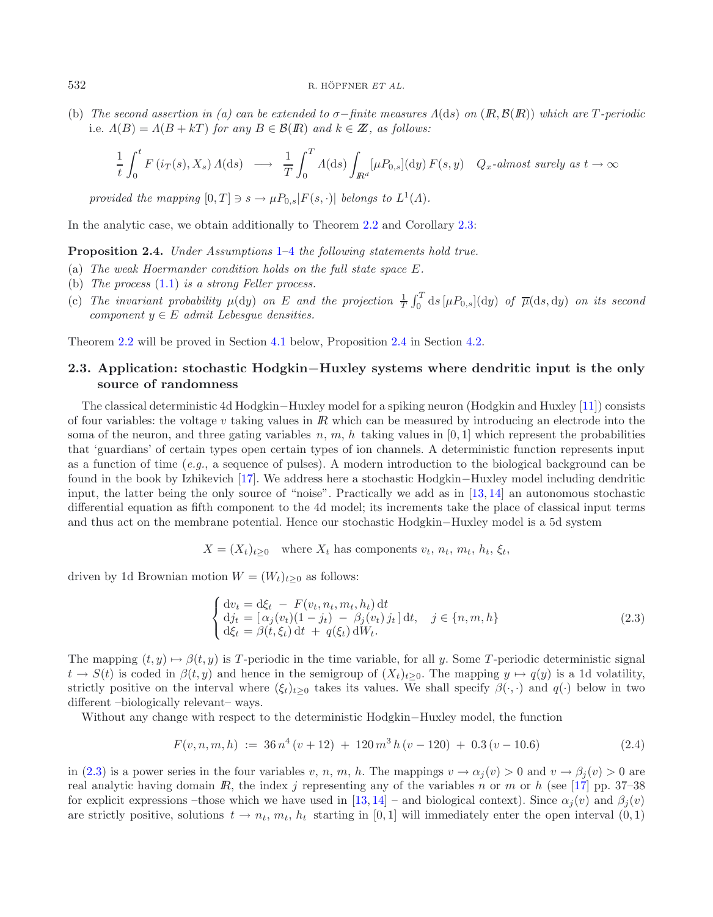(b) *The second assertion in (a) can be extended to* σ−*finite measures* Λ(ds) *on* (IR, B(IR)) *which are* T *-periodic* i.e.  $\Lambda(B) = \Lambda(B + kT)$  *for any*  $B \in \mathcal{B}(R)$  *and*  $k \in \mathbb{Z}$ *, as follows:* 

$$
\frac{1}{t}\int_0^t F(i_T(s),X_s)\,A(\mathrm{d}s)\;\;\longrightarrow\;\;\frac{1}{T}\int_0^T A(\mathrm{d}s)\int_{I\!\!R^d}[\mu P_{0,s}](\mathrm{d}y)\,F(s,y)\quad Q_x\textit{-almost surely as }t\to\infty
$$

*provided the mapping*  $[0, T] \ni s \rightarrow \mu P_{0,s} |F(s, \cdot)|$  *belongs to*  $L^1(\Lambda)$ *.* 

<span id="page-5-1"></span>In the analytic case, we obtain additionally to Theorem [2.2](#page-4-0) and Corollary [2.3:](#page-4-2)

**Proposition 2.4.** *Under Assumptions* [1–](#page-2-0)[4](#page-3-2) *the following statements hold true.*

- (a) *The weak Hoermander condition holds on the full state space* E*.*
- (b) *The process* [\(1.1\)](#page-0-0) *is a strong Feller process.*
- (c) The invariant probability  $\mu(dy)$  on E and the projection  $\frac{1}{T}\int_0^T ds \, [\mu P_{0,s}](dy)$  of  $\overline{\mu}(ds, dy)$  on its second *component*  $y \in E$  *admit Lebesgue densities.*

<span id="page-5-0"></span>Theorem [2.2](#page-4-0) will be proved in Section [4.1](#page-14-0) below, Proposition [2.4](#page-5-1) in Section [4.2.](#page-15-0)

## **2.3. Application: stochastic Hodgkin***−***Huxley systems where dendritic input is the only source of randomness**

The classical deterministic 4d Hodgkin−Huxley model for a spiking neuron (Hodgkin and Huxley [\[11](#page-26-6)]) consists of four variables: the voltage v taking values in  $\mathbb R$  which can be measured by introducing an electrode into the soma of the neuron, and three gating variables n, m, h taking values in  $[0, 1]$  which represent the probabilities that 'guardians' of certain types open certain types of ion channels. A deterministic function represents input as a function of time (*e.g.*, a sequence of pulses). A modern introduction to the biological background can be found in the book by Izhikevich [\[17](#page-26-7)]. We address here a stochastic Hodgkin−Huxley model including dendritic input, the latter being the only source of "noise". Practically we add as in [\[13](#page-26-0), [14](#page-26-1)] an autonomous stochastic differential equation as fifth component to the 4d model; its increments take the place of classical input terms and thus act on the membrane potential. Hence our stochastic Hodgkin−Huxley model is a 5d system

<span id="page-5-2"></span>
$$
X = (X_t)_{t \geq 0}
$$
 where  $X_t$  has components  $v_t$ ,  $n_t$ ,  $m_t$ ,  $h_t$ ,  $\xi_t$ ,

driven by 1d Brownian motion  $W = (W_t)_{t>0}$  as follows:

<span id="page-5-3"></span>
$$
\begin{cases} dv_t = d\xi_t - F(v_t, n_t, m_t, h_t) dt \\ dj_t = [\alpha_j(v_t)(1 - j_t) - \beta_j(v_t) j_t] dt, \quad j \in \{n, m, h\} \\ d\xi_t = \beta(t, \xi_t) dt + q(\xi_t) dW_t. \end{cases}
$$
(2.3)

The mapping  $(t, y) \mapsto \beta(t, y)$  is T-periodic in the time variable, for all y. Some T-periodic deterministic signal  $t \to S(t)$  is coded in  $\beta(t, y)$  and hence in the semigroup of  $(X_t)_{t>0}$ . The mapping  $y \mapsto q(y)$  is a 1d volatility, strictly positive on the interval where  $(\xi_t)_{t>0}$  takes its values. We shall specify  $\beta(\cdot, \cdot)$  and  $q(\cdot)$  below in two different –biologically relevant– ways.

Without any change with respect to the deterministic Hodgkin−Huxley model, the function

$$
F(v, n, m, h) := 36 n4 (v + 12) + 120 m3 h (v - 120) + 0.3 (v - 10.6)
$$
 (2.4)

in [\(2.3\)](#page-5-2) is a power series in the four variables v, n, m, h. The mappings  $v \to \alpha_i(v) > 0$  and  $v \to \beta_i(v) > 0$  are real analytic having domain  $\mathbb{R}$ , the index j representing any of the variables n or m or h (see [\[17\]](#page-26-7) pp. 37–38 for explicit expressions –those which we have used in [\[13,](#page-26-0) [14\]](#page-26-1) – and biological context). Since  $\alpha_j(v)$  and  $\beta_j(v)$ are strictly positive, solutions  $t \to n_t, m_t, h_t$  starting in [0,1] will immediately enter the open interval  $(0, 1)$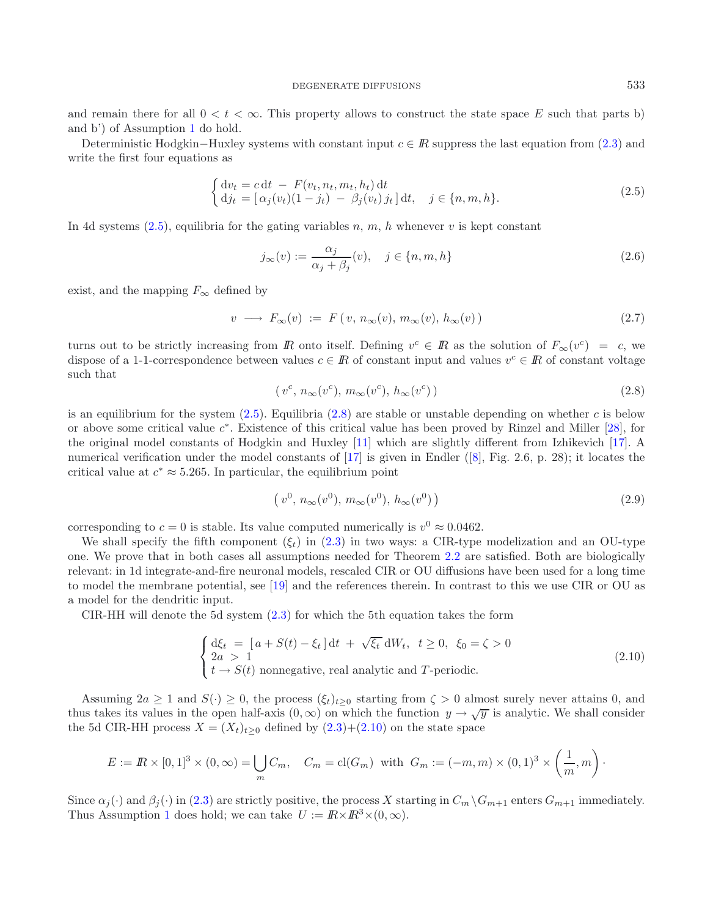<span id="page-6-0"></span>and remain there for all  $0 < t < \infty$ . This property allows to construct the state space E such that parts b) and b') of Assumption [1](#page-2-0) do hold.

Deterministic Hodgkin–Huxley systems with constant input  $c \in \mathbb{R}$  suppress the last equation from [\(2.3\)](#page-5-2) and write the first four equations as

<span id="page-6-6"></span><span id="page-6-4"></span>
$$
\begin{cases} dv_t = c dt - F(v_t, n_t, m_t, h_t) dt \\ dj_t = [\alpha_j(v_t)(1 - j_t) - \beta_j(v_t) j_t] dt, \quad j \in \{n, m, h\}. \end{cases}
$$
\n(2.5)

<span id="page-6-1"></span>In 4d systems  $(2.5)$ , equilibria for the gating variables n, m, h whenever v is kept constant

<span id="page-6-5"></span>
$$
j_{\infty}(v) := \frac{\alpha_j}{\alpha_j + \beta_j}(v), \quad j \in \{n, m, h\}
$$
\n(2.6)

exist, and the mapping  $F_{\infty}$  defined by

$$
v \longrightarrow F_{\infty}(v) := F(v, n_{\infty}(v), m_{\infty}(v), h_{\infty}(v))
$$
\n(2.7)

turns out to be strictly increasing from R onto itself. Defining  $v^c \in \mathbb{R}$  as the solution of  $F_{\infty}(v^c) = c$ , we dispose of a 1-1-correspondence between values  $c \in \mathbb{R}$  of constant input and values  $v^c \in \mathbb{R}$  of constant voltage such that

<span id="page-6-2"></span>
$$
(v^c, n_{\infty}(v^c), m_{\infty}(v^c), h_{\infty}(v^c))
$$
\n
$$
(2.8)
$$

is an equilibrium for the system  $(2.5)$ . Equilibria  $(2.8)$  are stable or unstable depending on whether c is below or above some critical value c<sup>∗</sup>. Existence of this critical value has been proved by Rinzel and Miller [\[28\]](#page-27-1), for the original model constants of Hodgkin and Huxley [\[11\]](#page-26-6) which are slightly different from Izhikevich [\[17\]](#page-26-7). A numerical verification under the model constants of [\[17\]](#page-26-7) is given in Endler ([\[8\]](#page-26-8), Fig. 2.6, p. 28); it locates the critical value at  $c^* \approx 5.265$ . In particular, the equilibrium point

$$
(v^0, n_{\infty}(v^0), m_{\infty}(v^0), h_{\infty}(v^0))
$$
\n(2.9)

corresponding to  $c = 0$  is stable. Its value computed numerically is  $v^0 \approx 0.0462$ .

We shall specify the fifth component  $(\xi_t)$  in [\(2.3\)](#page-5-2) in two ways: a CIR-type modelization and an OU-type one. We prove that in both cases all assumptions needed for Theorem [2.2](#page-4-0) are satisfied. Both are biologically relevant: in 1d integrate-and-fire neuronal models, rescaled CIR or OU diffusions have been used for a long time to model the membrane potential, see [\[19\]](#page-26-9) and the references therein. In contrast to this we use CIR or OU as a model for the dendritic input.

CIR-HH will denote the 5d system [\(2.3\)](#page-5-2) for which the 5th equation takes the form

$$
\begin{cases} d\xi_t = [a + S(t) - \xi_t] dt + \sqrt{\xi_t} dW_t, \ t \ge 0, \ \xi_0 = \zeta > 0 \\ 2a > 1 \\ t \to S(t) \text{ nonnegative, real analytic and } T \text{-periodic.} \end{cases}
$$
 (2.10)

Assuming  $2a \ge 1$  and  $S(\cdot) \ge 0$ , the process  $(\xi_t)_{t\ge 0}$  starting from  $\zeta > 0$  almost surely never attains 0, and thus takes its values in the open half-axis  $(0, \infty)$  on which the function  $y \to \sqrt{y}$  is analytic. We shall consider the 5d CIR-HH process  $X = (X_t)_{t>0}$  defined by  $(2.3)+(2.10)$  $(2.3)+(2.10)$  $(2.3)+(2.10)$  on the state space

$$
E := \mathbb{R} \times [0,1]^3 \times (0,\infty) = \bigcup_m C_m, \quad C_m = \text{cl}(G_m) \text{ with } G_m := (-m,m) \times (0,1)^3 \times \left(\frac{1}{m},m\right).
$$

<span id="page-6-3"></span>Since  $\alpha_j(\cdot)$  and  $\beta_j(\cdot)$  in [\(2.3\)](#page-5-2) are strictly positive, the process X starting in  $C_m \backslash G_{m+1}$  enters  $G_{m+1}$  immediately. Thus Assumption [1](#page-2-0) does hold; we can take  $U := \mathbb{R} \times \mathbb{R}^3 \times (0, \infty)$ .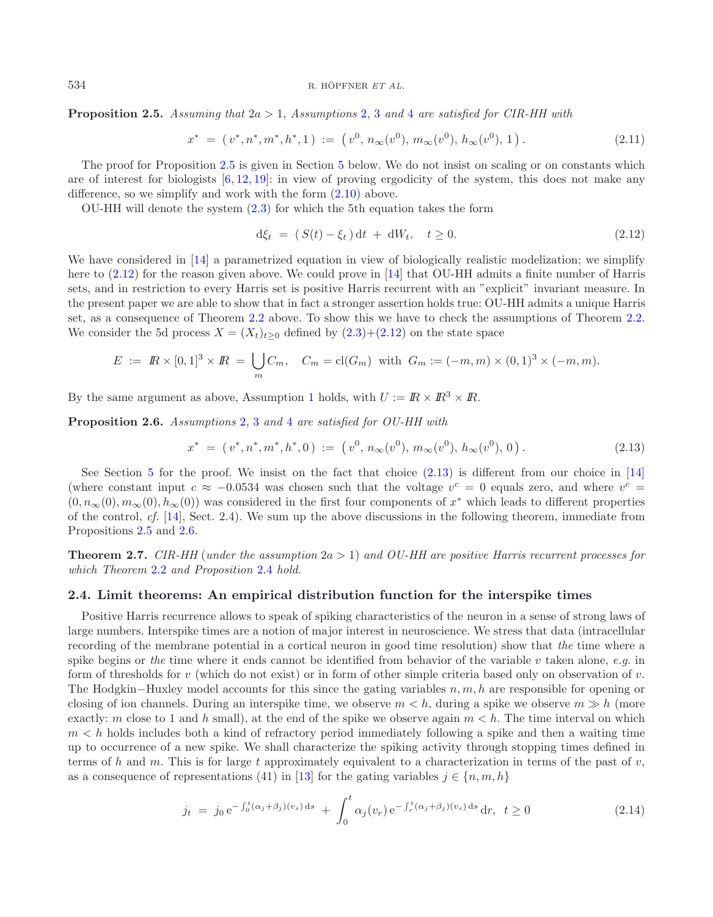**Proposition 2.5.** *Assuming that* 2a > 1, *Assumptions* [2,](#page-2-1) [3](#page-3-0) *and* [4](#page-3-2) *are satisfied for CIR-HH with*

<span id="page-7-6"></span><span id="page-7-2"></span>
$$
x^* = (v^*, n^*, m^*, h^*, 1) := (v^0, n_\infty(v^0), m_\infty(v^0), h_\infty(v^0), 1).
$$
 (2.11)

The proof for Proposition [2.5](#page-6-3) is given in Section [5](#page-16-0) below. We do not insist on scaling or on constants which are of interest for biologists  $[6, 12, 19]$  $[6, 12, 19]$  $[6, 12, 19]$  $[6, 12, 19]$  $[6, 12, 19]$  $[6, 12, 19]$ : in view of proving ergodicity of the system, this does not make any difference, so we simplify and work with the form  $(2.10)$  above.

OU-HH will denote the system  $(2.3)$  for which the 5th equation takes the form

<span id="page-7-3"></span>
$$
d\xi_t = (S(t) - \xi_t) dt + dW_t, \quad t \ge 0.
$$
\n(2.12)

We have considered in [\[14\]](#page-26-1) a parametrized equation in view of biologically realistic modelization; we simplify here to [\(2.12\)](#page-7-2) for the reason given above. We could prove in [\[14\]](#page-26-1) that OU-HH admits a finite number of Harris sets, and in restriction to every Harris set is positive Harris recurrent with an "explicit" invariant measure. In the present paper we are able to show that in fact a stronger assertion holds true: OU-HH admits a unique Harris set, as a consequence of Theorem [2.2](#page-4-0) above. To show this we have to check the assumptions of Theorem [2.2.](#page-4-0) We consider the 5d process  $X = (X_t)_{t>0}$  defined by  $(2.3)+(2.12)$  $(2.3)+(2.12)$  $(2.3)+(2.12)$  on the state space

$$
E := \mathbb{R} \times [0,1]^3 \times \mathbb{R} = \bigcup_m C_m, \quad C_m = \text{cl}(G_m) \text{ with } G_m := (-m,m) \times (0,1)^3 \times (-m,m).
$$

<span id="page-7-4"></span>By the same argument as above, Assumption [1](#page-2-0) holds, with  $U := \mathbb{R} \times \mathbb{R}^3 \times \mathbb{R}$ .

**Proposition 2.6.** *Assumptions* [2,](#page-2-1) [3](#page-3-0) *and* [4](#page-3-2) *are satisfied for OU-HH with*

<span id="page-7-5"></span>
$$
x^* = (v^*, n^*, m^*, h^*, 0) := (v^0, n_\infty(v^0), m_\infty(v^0), h_\infty(v^0), 0).
$$
 (2.13)

See Section [5](#page-16-0) for the proof. We insist on the fact that choice [\(2.13\)](#page-7-3) is different from our choice in [\[14\]](#page-26-1) (where constant input  $c \approx -0.0534$  was chosen such that the voltage  $v^c = 0$  equals zero, and where  $v^c =$  $(0, n_{\infty}(0), m_{\infty}(0), h_{\infty}(0))$  was considered in the first four components of  $x^*$  which leads to different properties of the control, *cf.* [\[14](#page-26-1)], Sect. 2.4). We sum up the above discussions in the following theorem, immediate from Propositions [2.5](#page-6-3) and [2.6.](#page-7-4)

<span id="page-7-0"></span>**Theorem 2.7.** *CIR-HH* (*under the assumption* 2a > 1) *and OU-HH are positive Harris recurrent processes for which Theorem* [2.2](#page-4-0) *and Proposition* [2.4](#page-5-1) *hold.*

## <span id="page-7-1"></span>**2.4. Limit theorems: An empirical distribution function for the interspike times**

Positive Harris recurrence allows to speak of spiking characteristics of the neuron in a sense of strong laws of large numbers. Interspike times are a notion of major interest in neuroscience. We stress that data (intracellular recording of the membrane potential in a cortical neuron in good time resolution) show that *the* time where a spike begins or *the* time where it ends cannot be identified from behavior of the variable v taken alone, *e.g.* in form of thresholds for v (which do not exist) or in form of other simple criteria based only on observation of v. The Hodgkin–Huxley model accounts for this since the gating variables  $n, m, h$  are responsible for opening or closing of ion channels. During an interspike time, we observe  $m < h$ , during a spike we observe  $m \gg h$  (more exactly: m close to 1 and h small), at the end of the spike we observe again  $m < h$ . The time interval on which  $m < h$  holds includes both a kind of refractory period immediately following a spike and then a waiting time up to occurrence of a new spike. We shall characterize the spiking activity through stopping times defined in terms of h and m. This is for large t approximately equivalent to a characterization in terms of the past of  $v$ , as a consequence of representations (41) in [\[13](#page-26-0)] for the gating variables  $j \in \{n, m, h\}$ 

$$
j_t = j_0 e^{-\int_0^t (\alpha_j + \beta_j)(v_s) ds} + \int_0^t \alpha_j(v_r) e^{-\int_r^t (\alpha_j + \beta_j)(v_s) ds} dr, \quad t \ge 0
$$
\n(2.14)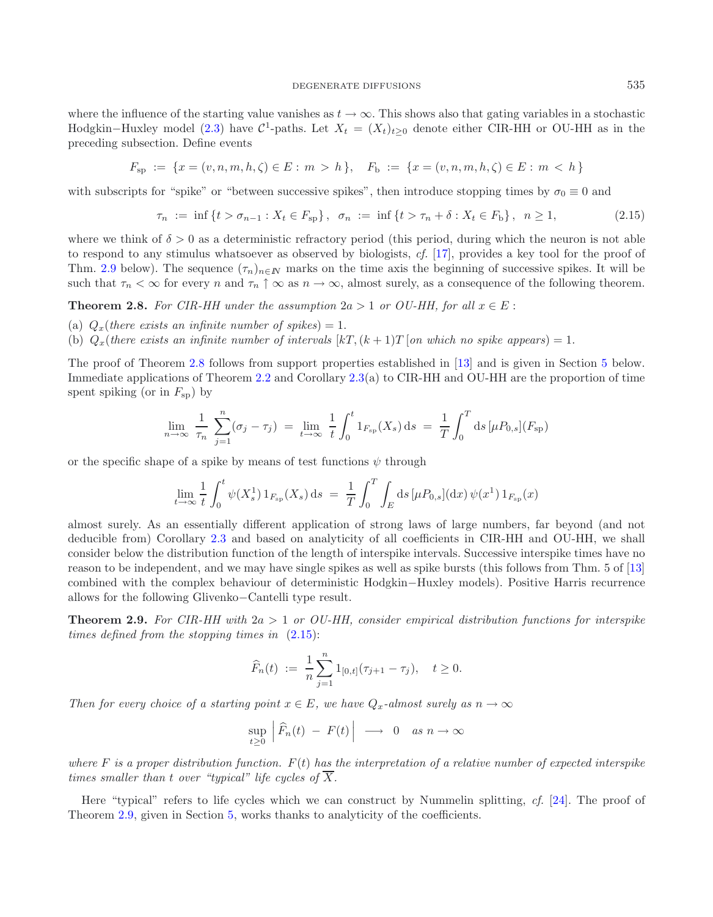where the influence of the starting value vanishes as  $t \to \infty$ . This shows also that gating variables in a stochastic Hodgkin–Huxley model [\(2.3\)](#page-5-2) have  $\mathcal{C}^1$ -paths. Let  $X_t = (X_t)_{t\geq0}$  denote either CIR-HH or OU-HH as in the preceding subsection. Define events

$$
F_{\text{sp}} := \{ x = (v, n, m, h, \zeta) \in E : m > h \}, \quad F_{\text{b}} := \{ x = (v, n, m, h, \zeta) \in E : m < h \}
$$

with subscripts for "spike" or "between successive spikes", then introduce stopping times by  $\sigma_0 \equiv 0$  and

<span id="page-8-2"></span>
$$
\tau_n := \inf \{ t > \sigma_{n-1} : X_t \in F_{\text{sp}} \}, \quad \sigma_n := \inf \{ t > \tau_n + \delta : X_t \in F_{\text{b}} \}, \quad n \ge 1,
$$
\n
$$
(2.15)
$$

where we think of  $\delta > 0$  as a deterministic refractory period (this period, during which the neuron is not able to respond to any stimulus whatsoever as observed by biologists, *cf.* [\[17\]](#page-26-7), provides a key tool for the proof of Thm. [2.9](#page-8-0) below). The sequence  $(\tau_n)_{n\in\mathbb{N}}$  marks on the time axis the beginning of successive spikes. It will be such that  $\tau_n < \infty$  for every n and  $\tau_n \uparrow \infty$  as  $n \to \infty$ , almost surely, as a consequence of the following theorem.

<span id="page-8-1"></span>**Theorem 2.8.** *For CIR-HH under the assumption*  $2a > 1$  *or OU-HH, for all*  $x \in E$ :

- (a)  $Q_x$ (*there exists an infinite number of spikes*) = 1.
- (b)  $Q_x$ (*there exists an infinite number of intervals*  $[kT, (k+1)T]$  *on which no spike appears*) = 1.

The proof of Theorem [2.8](#page-8-1) follows from support properties established in [\[13](#page-26-0)] and is given in Section [5](#page-16-0) below. Immediate applications of Theorem [2.2](#page-4-0) and Corollary [2.3\(](#page-4-2)a) to CIR-HH and OU-HH are the proportion of time spent spiking (or in  $F_{sp}$ ) by

$$
\lim_{n \to \infty} \frac{1}{\tau_n} \sum_{j=1}^n (\sigma_j - \tau_j) = \lim_{t \to \infty} \frac{1}{t} \int_0^t 1_{F_{\text{sp}}}(X_s) \, ds = \frac{1}{T} \int_0^T ds \, [\mu P_{0,s}](F_{\text{sp}})
$$

or the specific shape of a spike by means of test functions  $\psi$  through

$$
\lim_{t \to \infty} \frac{1}{t} \int_0^t \psi(X_s^1) 1_{F_{\text{sp}}}(X_s) \, \text{d}s \ = \ \frac{1}{T} \int_0^T \int_E \text{d}s \, [\mu P_{0,s}] (\text{d}x) \, \psi(x^1) 1_{F_{\text{sp}}}(x)
$$

almost surely. As an essentially different application of strong laws of large numbers, far beyond (and not deducible from) Corollary [2.3](#page-4-2) and based on analyticity of all coefficients in CIR-HH and OU-HH, we shall consider below the distribution function of the length of interspike intervals. Successive interspike times have no reason to be independent, and we may have single spikes as well as spike bursts (this follows from Thm. 5 of [\[13\]](#page-26-0) combined with the complex behaviour of deterministic Hodgkin−Huxley models). Positive Harris recurrence allows for the following Glivenko−Cantelli type result.

<span id="page-8-0"></span>**Theorem 2.9.** *For CIR-HH with* 2a > 1 *or OU-HH, consider empirical distribution functions for interspike times defined from the stopping times in* [\(2.15\)](#page-8-2):

$$
\widehat{F}_n(t) := \frac{1}{n} \sum_{j=1}^n 1_{[0,t]}(\tau_{j+1} - \tau_j), \quad t \ge 0.
$$

*Then for every choice of a starting point*  $x \in E$ *, we have*  $Q_x$ -almost surely as  $n \to \infty$ 

$$
\sup_{t\geq 0} \left| \widehat{F}_n(t) - F(t) \right| \longrightarrow 0 \quad \text{as } n \to \infty
$$

*where* F *is a proper distribution function.* F(t) *has the interpretation of a relative number of expected interspike times smaller than* t *over "typical" life cycles of*  $\overline{X}$ *.* 

Here "typical" refers to life cycles which we can construct by Nummelin splitting, *cf.* [\[24\]](#page-27-2). The proof of Theorem [2.9,](#page-8-0) given in Section [5,](#page-16-0) works thanks to analyticity of the coefficients.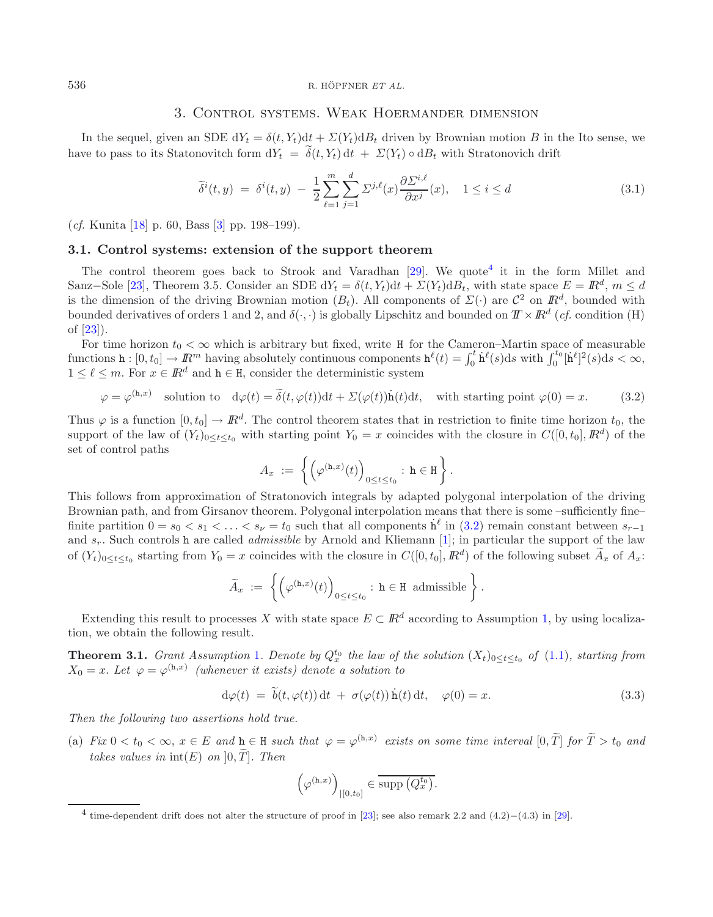## <span id="page-9-2"></span>3. Control systems. Weak Hoermander dimension

In the sequel, given an SDE  $dY_t = \delta(t, Y_t)dt + \Sigma(Y_t)dB_t$  driven by Brownian motion B in the Ito sense, we have to pass to its Statonovitch form  $dY_t = \tilde{\delta}(t, Y_t) dt + \Sigma(Y_t) \circ dB_t$  with Stratonovich drift

<span id="page-9-4"></span>
$$
\widetilde{\delta}^{i}(t,y) = \delta^{i}(t,y) - \frac{1}{2} \sum_{\ell=1}^{m} \sum_{j=1}^{d} \Sigma^{j,\ell}(x) \frac{\partial \Sigma^{i,\ell}}{\partial x^{j}}(x), \quad 1 \leq i \leq d \tag{3.1}
$$

<span id="page-9-1"></span>(*cf.* Kunita [\[18](#page-26-12)] p. 60, Bass [\[3\]](#page-26-13) pp. 198–199).

## **3.1. Control systems: extension of the support theorem**

The control theorem goes back to Strook and Varadhan  $[29]$  $[29]$ . We quote <sup>[4](#page-9-3)</sup> it in the form Millet and Sanz–Sole [\[23\]](#page-26-14), Theorem 3.5. Consider an SDE  $dY_t = \delta(t, Y_t)dt + \Sigma(Y_t)dB_t$ , with state space  $E = \mathbb{R}^d$ ,  $m \leq d$ is the dimension of the driving Brownian motion  $(B_t)$ . All components of  $\Sigma(\cdot)$  are  $\mathcal{C}^2$  on  $\mathbb{R}^d$ , bounded with bounded derivatives of orders 1 and 2, and  $\delta(\cdot, \cdot)$  is globally Lipschitz and bounded on  $T \times \mathbb{R}^d$  (*cf.* condition (H) of [\[23\]](#page-26-14)).

For time horizon  $t_0 < \infty$  which is arbitrary but fixed, write H for the Cameron–Martin space of measurable functions  $h: [0, t_0] \to \mathbb{R}^m$  having absolutely continuous components  $h^{\ell}(t) = \int_0^t h^{\ell}(s)ds$  with  $\int_0^{t_0} [h^{\ell}]^2(s)ds < \infty$ ,  $1 \leq \ell \leq m$ . For  $x \in \mathbb{R}^d$  and  $h \in H$ , consider the deterministic system

$$
\varphi = \varphi^{(\mathbf{h},x)} \quad \text{solution to} \quad d\varphi(t) = \tilde{\delta}(t,\varphi(t))dt + \Sigma(\varphi(t))\dot{\mathbf{h}}(t)dt, \quad \text{with starting point } \varphi(0) = x. \tag{3.2}
$$

Thus  $\varphi$  is a function  $[0, t_0] \to \mathbb{R}^d$ . The control theorem states that in restriction to finite time horizon  $t_0$ , the support of the law of  $(Y_t)_{0 \le t \le t_0}$  with starting point  $Y_0 = x$  coincides with the closure in  $C([0, t_0], \mathbb{R}^d)$  of the set of control paths

<span id="page-9-5"></span>
$$
A_x := \left\{ \left( \varphi^{(\mathtt{h},x)}(t) \right)_{0 \le t \le t_0} : \mathtt{h} \in \mathtt{H} \right\}.
$$

This follows from approximation of Stratonovich integrals by adapted polygonal interpolation of the driving Brownian path, and from Girsanov theorem. Polygonal interpolation means that there is some –sufficiently fine– finite partition  $0 = s_0 < s_1 < \ldots < s_{\nu} = t_0$  such that all components  $\dot{h}^{\ell}$  in  $(3.2)$  remain constant between  $s_{r-1}$ and sr. Such controls h are called *admissible* by Arnold and Kliemann [\[1\]](#page-26-15); in particular the support of the law of  $(Y_t)_{0\leq t\leq t_0}$  starting from  $Y_0 = x$  coincides with the closure in  $C([0, t_0], \mathbb{R}^d)$  of the following subset  $\widetilde{A}_x$  of  $A_x$ :

$$
\widetilde{A}_x := \left\{ \left( \varphi^{(\mathtt{h},x)}(t) \right)_{0 \le t \le t_0} : \mathtt{h} \in \mathtt{H} \text{ admissible} \right\}.
$$

Extending this result to processes X with state space  $E \subset \mathbb{R}^d$  according to Assumption [1,](#page-2-0) by using localization, we obtain the following result.

<span id="page-9-3"></span><span id="page-9-0"></span>**Theorem 3.[1](#page-2-0).** *Grant Assumption* 1*. Denote by*  $Q_x^{t_0}$  *the law of the solution*  $(X_t)_{0 \le t \le t_0}$  *of* [\(1.1\)](#page-0-0)*, starting from*  $X_0 = x$ . Let  $\varphi = \varphi^{(h,x)}$  *(whenever it exists) denote a solution to* 

$$
d\varphi(t) = \tilde{b}(t, \varphi(t)) dt + \sigma(\varphi(t)) \dot{h}(t) dt, \quad \varphi(0) = x.
$$
\n(3.3)

*Then the following two assertions hold true.*

(a) *Fix*  $0 < t_0 < \infty$ ,  $x \in E$  *and*  $h \in H$  *such that*  $\varphi = \varphi^{(h,x)}$  *exists on some time interval*  $[0, \tilde{T}]$  *for*  $\tilde{T} > t_0$  *and takes values in*  $int(E)$  *on*  $]0, T$ *l. Then* 

$$
\left(\varphi^{(\mathtt{h},x)}\right)_{|[0,t_0]}\in\overline{\text{supp}\left(Q_x^{t_0}\right)}.
$$

<sup>&</sup>lt;sup>4</sup> time-dependent drift does not alter the structure of proof in [\[23](#page-26-14)]; see also remark 2.2 and  $(4.2)–(4.3)$  in [\[29\]](#page-27-3).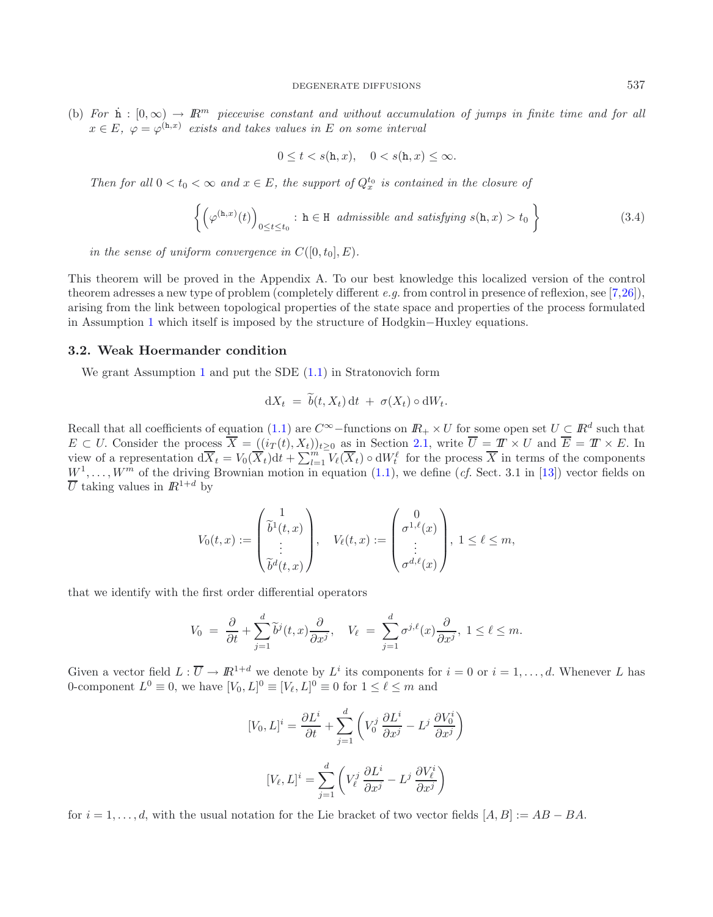(b) For  $\dot{\mathbf{n}}$  :  $[0,\infty) \to \mathbb{R}^m$  piecewise constant and without accumulation of jumps in finite time and for all  $x \in E$ ,  $\varphi = \varphi^{(h,x)}$  *exists and takes values in* E *on some interval* 

<span id="page-10-2"></span>
$$
0\leq t < s(\mathbf{h},x), \quad 0 < s(\mathbf{h},x) \leq \infty.
$$

*Then for all*  $0 < t_0 < \infty$  *and*  $x \in E$ *, the support of*  $Q_x^{t_0}$  *is contained in the closure of* 

$$
\left\{ \left( \varphi^{(\mathtt{h},x)}(t) \right)_{0 \le t \le t_0} : \, \mathtt{h} \in \mathcal{H} \text{ admissible and satisfying } s(\mathtt{h},x) > t_0 \right\} \tag{3.4}
$$

*in the sense of uniform convergence in*  $C([0, t_0], E)$ *.* 

This theorem will be proved in the Appendix A. To our best knowledge this localized version of the control theorem adresses a new type of problem (completely different *e.g.* from control in presence of reflexion, see [\[7](#page-26-16)[,26](#page-27-4)]), arising from the link between topological properties of the state space and properties of the process formulated in Assumption [1](#page-2-0) which itself is imposed by the structure of Hodgkin−Huxley equations.

### <span id="page-10-0"></span>**3.2. Weak Hoermander condition**

We grant Assumption [1](#page-2-0) and put the SDE  $(1.1)$  in Stratonovich form

$$
dX_t = \widetilde{b}(t, X_t) dt + \sigma(X_t) \circ dW_t.
$$

Recall that all coefficients of equation [\(1.1\)](#page-0-0) are  $C^{\infty}$ -functions on  $\mathbb{R}_+ \times U$  for some open set  $U \subset \mathbb{R}^d$  such that  $E \subset U$ . Consider the process  $\overline{X} = ((i_T(t), X_t))_{t>0}$  as in Section [2.1,](#page-1-0) write  $\overline{U} = \overline{T} \times U$  and  $\overline{E} = \overline{T} \times E$ . In view of a representation  $d\overline{X}_t = V_0(\overline{X}_t)dt + \sum_{l=1}^{m} V_{\ell}(\overline{X}_t) \circ dW_t^{\ell}$  for the process  $\overline{X}$  in terms of the components  $W^1, \ldots, W^m$  of the driving Brownian motion in equation [\(1.1\)](#page-0-0), we define (*cf.* Sect. 3.1 in [\[13\]](#page-26-0)) vector fields on  $\overline{U}$  taking values in  $\mathbb{R}^{1+d}$  by

$$
V_0(t,x) := \begin{pmatrix} 1 \\ \tilde{b}^1(t,x) \\ \vdots \\ \tilde{b}^d(t,x) \end{pmatrix}, \quad V_{\ell}(t,x) := \begin{pmatrix} 0 \\ \sigma^{1,\ell}(x) \\ \vdots \\ \sigma^{d,\ell}(x) \end{pmatrix}, \ 1 \leq \ell \leq m,
$$

that we identify with the first order differential operators

$$
V_0 = \frac{\partial}{\partial t} + \sum_{j=1}^d \tilde{b}^j(t, x) \frac{\partial}{\partial x^j}, \quad V_\ell = \sum_{j=1}^d \sigma^{j, \ell}(x) \frac{\partial}{\partial x^j}, \quad 1 \le \ell \le m.
$$

Given a vector field  $L : \overline{U} \to \mathbb{R}^{1+d}$  we denote by  $L^i$  its components for  $i = 0$  or  $i = 1, ..., d$ . Whenever L has 0-component  $L^0 \equiv 0$ , we have  $[V_0, L]^0 \equiv [V_\ell, L]^0 \equiv 0$  for  $1 \leq \ell \leq m$  and

$$
[V_0, L]^i = \frac{\partial L^i}{\partial t} + \sum_{j=1}^d \left( V_0^j \frac{\partial L^i}{\partial x^j} - L^j \frac{\partial V_0^i}{\partial x^j} \right)
$$

$$
[V_\ell, L]^i = \sum_{j=1}^d \left( V_\ell^j \frac{\partial L^i}{\partial x^j} - L^j \frac{\partial V_\ell^i}{\partial x^j} \right)
$$

<span id="page-10-1"></span>for  $i = 1, \ldots, d$ , with the usual notation for the Lie bracket of two vector fields  $[A, B] := AB - BA$ .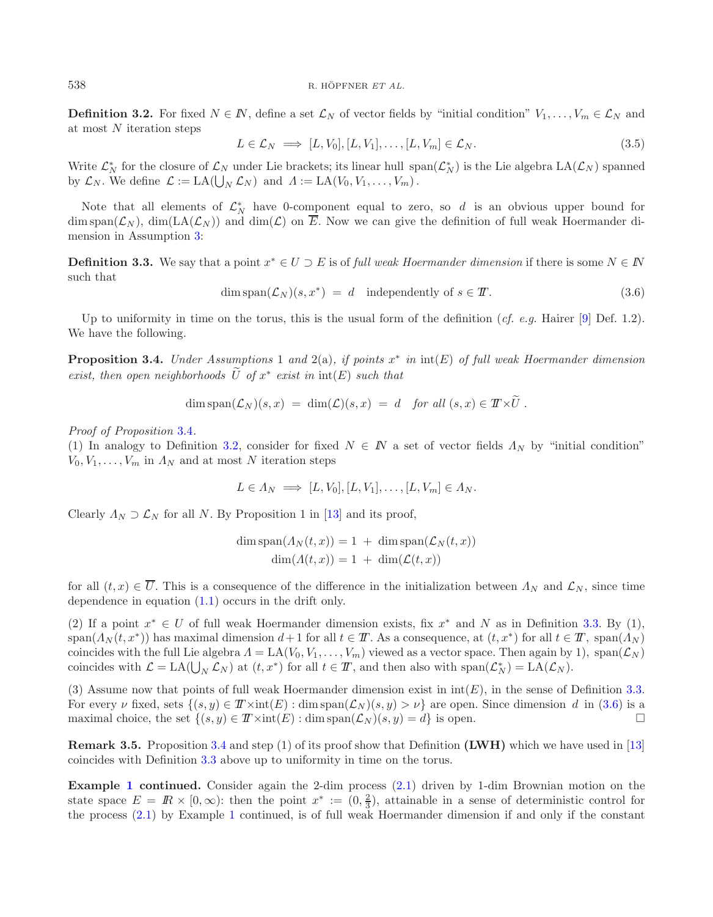**Definition 3.2.** For fixed  $N \in \mathbb{N}$ , define a set  $\mathcal{L}_N$  of vector fields by "initial condition"  $V_1, \ldots, V_m \in \mathcal{L}_N$  and at most  $N$  iteration steps

$$
L \in \mathcal{L}_N \implies [L, V_0], [L, V_1], \dots, [L, V_m] \in \mathcal{L}_N. \tag{3.5}
$$

Write  $\mathcal{L}_N^*$  for the closure of  $\mathcal{L}_N$  under Lie brackets; its linear hull  $\text{span}(\mathcal{L}_N^*)$  is the Lie algebra  $\text{LA}(\mathcal{L}_N)$  spanned by  $\mathcal{L}_N$ . We define  $\mathcal{L} := \text{LA}(\bigcup_N \mathcal{L}_N)$  and  $\Lambda := \text{LA}(V_0, V_1, \ldots, V_m)$ .

Note that all elements of  $\mathcal{L}_N^*$  have 0-component equal to zero, so d is an obvious upper bound for dim span( $\mathcal{L}_N$ ), dim(LA( $\mathcal{L}_N$ )) and dim( $\mathcal{L}$ ) on  $\overline{E}$ . Now we can give the definition of full weak Hoermander dimension in Assumption [3:](#page-3-0)

<span id="page-11-0"></span>**Definition 3.3.** We say that a point  $x^* \in U \supset E$  is of *full weak Hoermander dimension* if there is some  $N \in \mathbb{N}$ such that

 $\dim \text{span}(\mathcal{L}_N)(s, x^*) = d$  independently of  $s \in \mathcal{I}$ . (3.6)

<span id="page-11-1"></span>Up to uniformity in time on the torus, this is the usual form of the definition (*cf. e.g.* Hairer [\[9](#page-26-17)] Def. 1.2). We have the following.

**Proposition 3.4.** *Under Assumptions* 1 *and* 2(a)*, if points* x<sup>∗</sup> *in* int(E) *of full weak Hoermander dimension exist, then open neighborhoods*  $\widetilde{U}$  *of*  $x^*$  *exist in*  $\text{int}(E)$  *such that* 

$$
\dim \operatorname{span}(\mathcal{L}_N)(s,x) \;=\; \dim(\mathcal{L})(s,x) \;=\; d \quad \text{for all } (s,x) \in I\!\!T \times \widetilde{U} \;.
$$

*Proof of Proposition* [3.4](#page-11-1)*.*

(1) In analogy to Definition [3.2,](#page-10-1) consider for fixed  $N \in \mathbb{N}$  a set of vector fields  $\Lambda_N$  by "initial condition"  $V_0, V_1, \ldots, V_m$  in  $\Lambda_N$  and at most N iteration steps

$$
L \in \Lambda_N \implies [L, V_0], [L, V_1], \dots, [L, V_m] \in \Lambda_N.
$$

Clearly  $\Lambda_N \supset \mathcal{L}_N$  for all N. By Proposition 1 in [\[13](#page-26-0)] and its proof,

$$
\dim \operatorname{span}(A_N(t, x)) = 1 + \dim \operatorname{span}(\mathcal{L}_N(t, x))
$$

$$
\dim(A(t, x)) = 1 + \dim(\mathcal{L}(t, x))
$$

for all  $(t, x) \in \overline{U}$ . This is a consequence of the difference in the initialization between  $\Lambda_N$  and  $\mathcal{L}_N$ , since time dependence in equation [\(1.1\)](#page-0-0) occurs in the drift only.

(2) If a point  $x^* \in U$  of full weak Hoermander dimension exists, fix  $x^*$  and N as in Definition [3.3.](#page-11-0) By (1),  $\text{span}(A_N(t, x^*))$  has maximal dimension  $d+1$  for all  $t \in T$ . As a consequence, at  $(t, x^*)$  for all  $t \in T$ ,  $\text{span}(A_N)$ coincides with the full Lie algebra  $\Lambda = \text{LA}(V_0, V_1, \ldots, V_m)$  viewed as a vector space. Then again by 1), span $(\mathcal{L}_N)$ coincides with  $\mathcal{L} = \text{LA}(\bigcup_N \mathcal{L}_N)$  at  $(t, x^*)$  for all  $t \in \mathcal{T}$ , and then also with  $\text{span}(\mathcal{L}_N^*) = \text{LA}(\mathcal{L}_N)$ .

(3) Assume now that points of full weak Hoermander dimension exist in  $int(E)$ , in the sense of Definition [3.3.](#page-11-0) For every v fixed, sets  $\{(s, y) \in T \times \text{int}(E) : \dim \text{span}(\mathcal{L}_N)(s, y) > \nu\}$  are open. Since dimension d in [\(3.6\)](#page-11-2) is a maximal choice, the set  $\{(s, y) \in T \times \text{int}(E) : \dim \text{span}(\mathcal{L}_N)(s, y) = d\}$  is open.

**Remark 3.5.** Proposition [3.4](#page-11-1) and step (1) of its proof show that Definition **(LWH)** which we have used in [\[13\]](#page-26-0) coincides with Definition [3.3](#page-11-0) above up to uniformity in time on the torus.

**Example [1](#page-1-2) continued.** Consider again the 2-dim process [\(2.1\)](#page-1-1) driven by 1-dim Brownian motion on the state space  $E = \mathbb{R} \times [0, \infty)$ : then the point  $x^* := (0, \frac{2}{3})$ , attainable in a sense of deterministic control for the process [\(2.1\)](#page-1-1) by Example [1](#page-1-2) continued, is of full weak Hoermander dimension if and only if the constant

<span id="page-11-2"></span>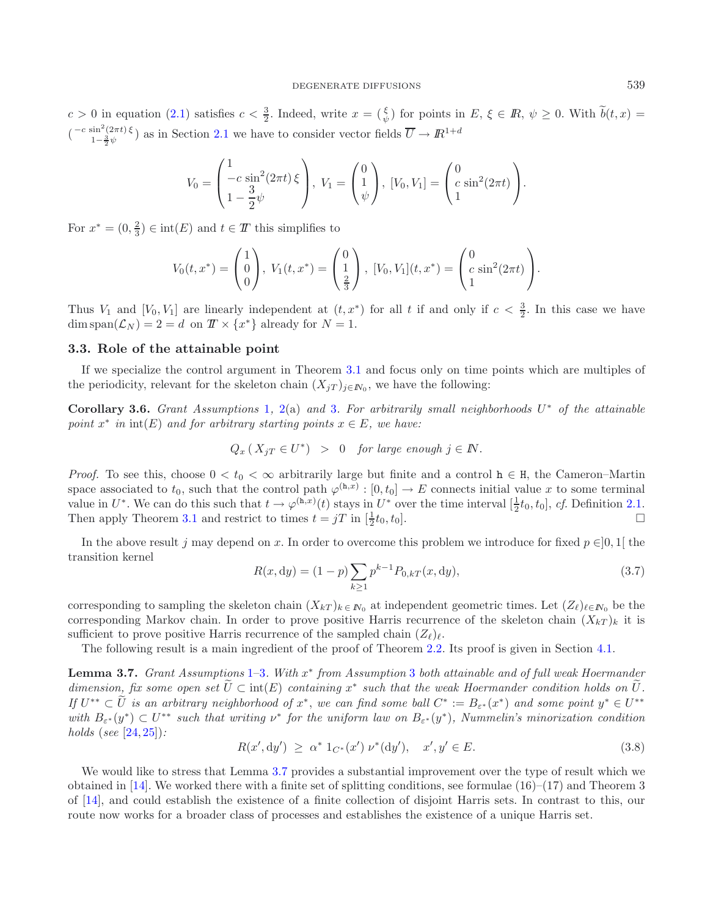$c > 0$  in equation [\(2.1\)](#page-1-1) satisfies  $c < \frac{3}{2}$ . Indeed, write  $x = \begin{pmatrix} \xi \\ \psi \end{pmatrix}$  for points in  $E, \xi \in \mathbb{R}, \psi \ge 0$ . With  $\widetilde{b}(t, x) =$  $\binom{-c \sin^2(2\pi t) \xi}{1-\frac{3}{2}\psi}$  as in Section [2.1](#page-1-0) we have to consider vector fields  $\overline{U} \to I\!\!R^{1+d}$ 

$$
V_0 = \begin{pmatrix} 1 & 0 & 0 \\ -c \sin^2(2\pi t) & 0 \\ 1 - \frac{3}{2}\psi & 0 \end{pmatrix}, V_1 = \begin{pmatrix} 0 & 0 \\ 1 & 0 \\ \psi & 0 \end{pmatrix}, [V_0, V_1] = \begin{pmatrix} 0 & 0 \\ c \sin^2(2\pi t) & 0 \\ 1 & 0 \end{pmatrix}.
$$

For  $x^* = (0, \frac{2}{3}) \in \text{int}(E)$  and  $t \in T$  this simplifies to

$$
V_0(t,x^*) = \begin{pmatrix} 1 \\ 0 \\ 0 \end{pmatrix}, V_1(t,x^*) = \begin{pmatrix} 0 \\ 1 \\ \frac{2}{3} \end{pmatrix}, [V_0, V_1](t,x^*) = \begin{pmatrix} 0 \\ c \sin^2(2\pi t) \\ 1 \end{pmatrix}.
$$

Thus  $V_1$  and  $[V_0, V_1]$  are linearly independent at  $(t, x^*)$  for all t if and only if  $c < \frac{3}{2}$ . In this case we have  $\dim \text{span}(\mathcal{L}_N) = 2 = d$  on  $T \times \{x^*\}$  already for  $N = 1$ .

## <span id="page-12-4"></span>**3.3. Role of the attainable point**

<span id="page-12-2"></span><span id="page-12-1"></span>If we specialize the control argument in Theorem [3.1](#page-9-0) and focus only on time points which are multiples of the periodicity, relevant for the skeleton chain  $(X_j)_{j\in\mathbb{N}_0}$ , we have the following:

**Corollary 3.6.** *Grant Assumptions* [1](#page-2-0)*,* [2\(](#page-2-1)a) *and* [3](#page-3-0)*. For arbitrarily small neighborhoods* U<sup>∗</sup> *of the attainable point*  $x^*$  *in*  $int(E)$  *and for arbitrary starting points*  $x \in E$ *, we have:* 

$$
Q_x\left(X_{jT} \in U^*\right) > 0 \quad \text{for large enough } j \in \mathbb{N}.
$$

*Proof.* To see this, choose  $0 < t_0 < \infty$  arbitrarily large but finite and a control  $h \in H$ , the Cameron–Martin space associated to  $t_0$ , such that the control path  $\varphi^{(h,x)} : [0, t_0] \to E$  connects initial value x to some terminal value in  $U^*$ . We can do this such that  $t \to \varphi^{(h,x)}(t)$  stays in  $U^*$  over the time interval  $[\frac{1}{2}t_0, t_0]$ , *cf.* Definition [2.1.](#page-3-1) Then apply Theorem [3.1](#page-9-0) and restrict to times  $t = jT$  in  $[\frac{1}{2}t_0, t_0]$ .

<span id="page-12-3"></span>In the above result j may depend on x. In order to overcome this problem we introduce for fixed  $p \in ]0,1[$  the transition kernel

$$
R(x, dy) = (1 - p) \sum_{k \ge 1} p^{k-1} P_{0,kT}(x, dy),
$$
\n(3.7)

corresponding to sampling the skeleton chain  $(X_{kT})_{k \in N_0}$  at independent geometric times. Let  $(Z_{\ell})_{\ell \in N_0}$  be the corresponding Markov chain. In order to prove positive Harris recurrence of the skeleton chain  $(X_{kT})_k$  it is sufficient to prove positive Harris recurrence of the sampled chain  $(Z_{\ell})_{\ell}$ .

The following result is a main ingredient of the proof of Theorem [2.2.](#page-4-0) Its proof is given in Section [4.1.](#page-14-0)

<span id="page-12-0"></span>**Lemma 3.7.** *Grant Assumptions* [1–](#page-2-0)[3](#page-3-0)*. With* x<sup>∗</sup> *from Assumption* [3](#page-3-0) *both attainable and of full weak Hoermander dimension, fix some open set*  $\tilde{U} \subset \text{int}(E)$  *containing*  $x^*$  *such that the weak Hoermander condition holds on*  $\tilde{U}$ . *If*  $U^{**} \subset \widetilde{U}$  *is an arbitrary neighborhood of*  $x^*$ , *we can find some ball*  $C^* := B_{\varepsilon^*}(x^*)$  *and some point*  $y^* \in U^{**}$ *with*  $B_{\varepsilon^*}(y^*) \subset U^{**}$  *such that writing*  $\nu^*$  *for the uniform law on*  $B_{\varepsilon^*}(y^*)$ *, Nummelin's minorization condition holds* (*see* [\[24](#page-27-2), [25](#page-27-5)])*:*

$$
R(x', dy') \ge \alpha^* 1_{C^*}(x') \nu^*(dy'), \quad x', y' \in E. \tag{3.8}
$$

We would like to stress that Lemma [3.7](#page-12-0) provides a substantial improvement over the type of result which we obtained in [\[14](#page-26-1)]. We worked there with a finite set of splitting conditions, see formulae  $(16)$ – $(17)$  and Theorem 3 of [\[14\]](#page-26-1), and could establish the existence of a finite collection of disjoint Harris sets. In contrast to this, our route now works for a broader class of processes and establishes the existence of a unique Harris set.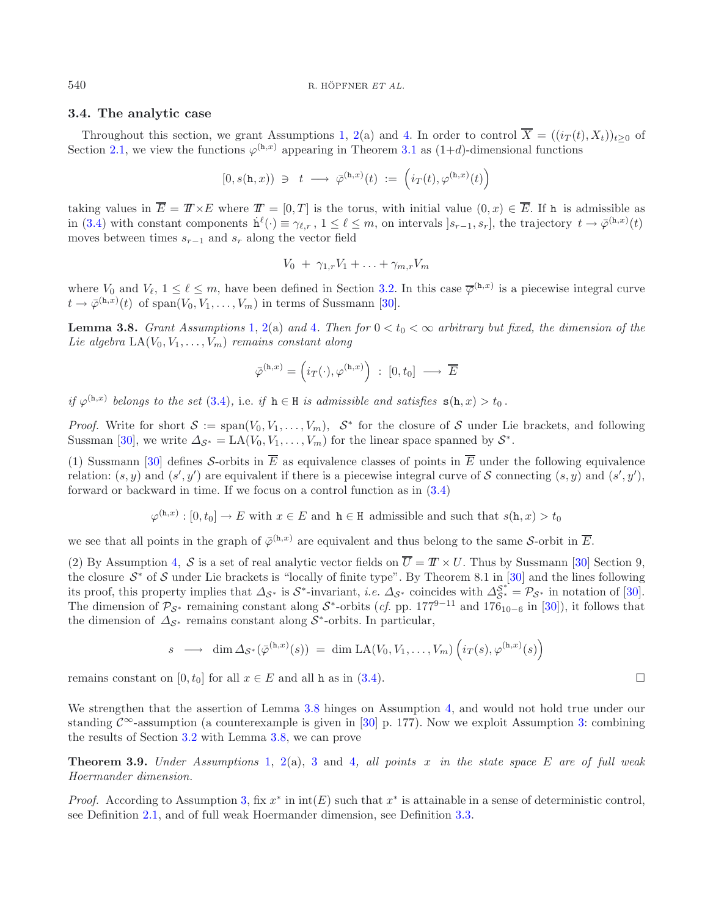## <span id="page-13-0"></span>**3.4. The analytic case**

Throughout this section, we grant Assumptions [1,](#page-2-0) [2\(](#page-2-1)a) and [4.](#page-3-2) In order to control  $\overline{X} = ((i_T(t), X_t))_{t>0}$  of Section [2.1,](#page-1-0) we view the functions  $\varphi^{(h,x)}$  appearing in Theorem [3.1](#page-9-0) as  $(1+d)$ -dimensional functions

$$
[0,s(\mathtt{h},x))\ \ni\ \ t\ \longrightarrow\ \bar{\varphi}^{(\mathtt{h},x)}(t)\ :=\ \Big(i_T(t),\varphi^{(\mathtt{h},x)}(t)\Big)
$$

taking values in  $\overline{E} = T \times E$  where  $T = [0, T]$  is the torus, with initial value  $(0, x) \in \overline{E}$ . If h is admissible as in [\(3.4\)](#page-10-2) with constant components  $\dot{h}^{\ell}(\cdot) \equiv \gamma_{\ell,r}, 1 \leq \ell \leq m$ , on intervals  $]s_{r-1}, s_r]$ , the trajectory  $t \to \bar{\varphi}^{(\text{h},x)}(t)$ moves between times  $s_{r-1}$  and  $s_r$  along the vector field

$$
V_0 + \gamma_{1,r}V_1 + \ldots + \gamma_{m,r}V_m
$$

<span id="page-13-1"></span>where  $V_0$  and  $V_\ell$ ,  $1 \leq \ell \leq m$ , have been defined in Section [3.2.](#page-10-0) In this case  $\overline{\varphi}^{(h,x)}$  is a piecewise integral curve  $t \to \bar{\varphi}^{(\text{h},x)}(t)$  of span $(V_0, V_1, \ldots, V_m)$  in terms of Sussmann [\[30\]](#page-27-6).

**Lemma 3.8.** *Grant Assumptions* [1,](#page-2-0) [2\(](#page-2-1)a) and [4](#page-3-2). Then for  $0 < t_0 < \infty$  arbitrary but fixed, the dimension of the *Lie algebra*  $LA(V_0, V_1, \ldots, V_m)$  *remains constant along* 

$$
\bar{\varphi}^{(\mathtt{h},x)} = \left( i_T(\cdot), \varphi^{(\mathtt{h},x)} \right) \; : \; [0,t_0] \; \longrightarrow \; \overline{E}
$$

*if*  $\varphi^{(h,x)}$  *belongs to the set* [\(3.4\)](#page-10-2), i.e. *if*  $h \in H$  *is admissible and satisfies*  $s(h, x) > t_0$ .

*Proof.* Write for short  $S := \text{span}(V_0, V_1, \ldots, V_m)$ ,  $S^*$  for the closure of S under Lie brackets, and following Sussman [\[30\]](#page-27-6), we write  $\Delta_{\mathcal{S}^*} = \text{LA}(V_0, V_1, \ldots, V_m)$  for the linear space spanned by  $\mathcal{S}^*$ .

(1) Sussmann [\[30](#page-27-6)] defines S-orbits in  $\overline{E}$  as equivalence classes of points in  $\overline{E}$  under the following equivalence relation:  $(s, y)$  and  $(s', y')$  are equivalent if there is a piecewise integral curve of S connecting  $(s, y)$  and  $(s', y')$ , forward or backward in time. If we focus on a control function as in [\(3.4\)](#page-10-2)

$$
\varphi^{(h,x)}:[0,t_0]\to E
$$
 with  $x\in E$  and  $h\in H$  admissible and such that  $s(h,x)>t_0$ 

we see that all points in the graph of  $\overline{\varphi}^{(h,x)}$  are equivalent and thus belong to the same S-orbit in  $\overline{E}$ .

(2) By Assumption [4,](#page-3-2) S is a set of real analytic vector fields on  $\overline{U} = T \times U$ . Thus by Sussmann [\[30](#page-27-6)] Section 9, the closure  $S^*$  of S under Lie brackets is "locally of finite type". By Theorem 8.1 in [\[30\]](#page-27-6) and the lines following its proof, this property implies that  $\Delta_{\mathcal{S}^*}$  is  $\mathcal{S}^*$ -invariant, *i.e.*  $\Delta_{\mathcal{S}^*}$  coincides with  $\Delta_{\mathcal{S}^*}^* = \mathcal{P}_{\mathcal{S}^*}$  in notation of [\[30](#page-27-6)]. The dimension of  $\mathcal{P}_{\mathcal{S}^*}$  remaining constant along  $\mathcal{S}^*$ -orbits (*cf.* pp. 177<sup>9–11</sup> and 176<sub>10−6</sub> in [\[30\]](#page-27-6)), it follows that the dimension of  $\Delta_{\mathcal{S}^*}$  remains constant along  $\mathcal{S}^*$ -orbits. In particular,

$$
s \longrightarrow \dim \Delta_{\mathcal{S}^*}(\bar{\varphi}^{(\mathtt{h},x)}(s)) = \dim \mathrm{LA}(V_0, V_1, \ldots, V_m) \left( i_T(s), \varphi^{(\mathtt{h},x)}(s) \right)
$$

remains constant on [0, t<sub>0</sub>] for all  $x \in E$  and all h as in [\(3.4\)](#page-10-2).  $\Box$ 

We strengthen that the assertion of Lemma [3.8](#page-13-1) hinges on Assumption [4,](#page-3-2) and would not hold true under our standing  $\mathcal{C}^{\infty}$ -assumption (a counterexample is given in [\[30](#page-27-6)] p. 177). Now we exploit Assumption [3:](#page-3-0) combining the results of Section [3.2](#page-10-0) with Lemma [3.8,](#page-13-1) we can prove

<span id="page-13-2"></span>**Theorem 3.9.** *Under Assumptions* [1,](#page-2-0) [2\(](#page-2-1)a), [3](#page-3-0) and [4](#page-3-2)*, all points* x *in the state space* E *are of full weak Hoermander dimension.*

*Proof.* According to Assumption [3,](#page-3-0) fix  $x^*$  in  $int(E)$  such that  $x^*$  is attainable in a sense of deterministic control, see Definition [2.1,](#page-3-1) and of full weak Hoermander dimension, see Definition [3.3.](#page-11-0)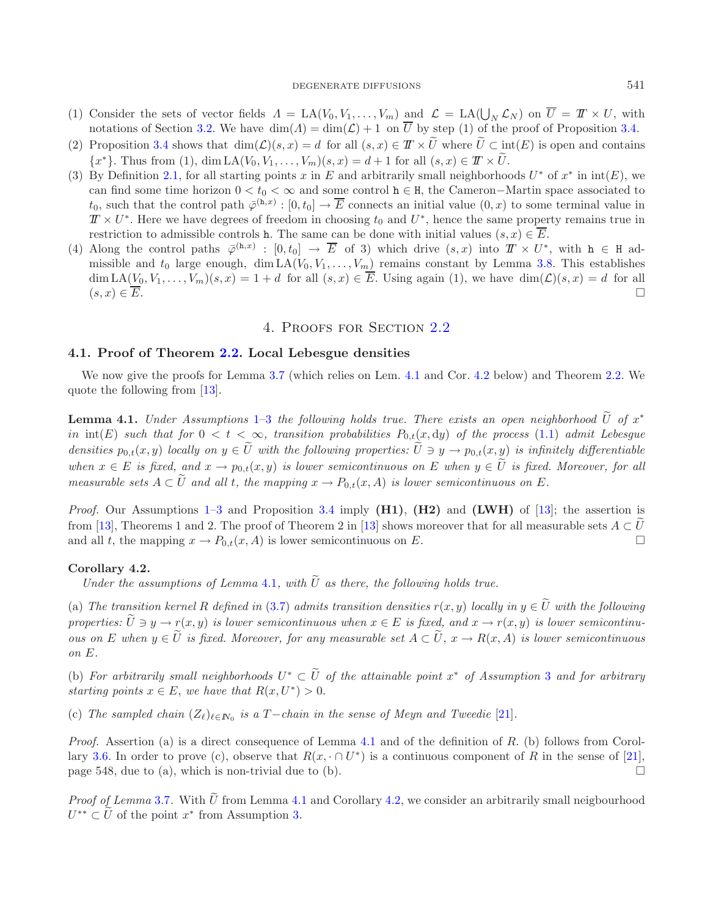### DEGENERATE DIFFUSIONS 541

- (1) Consider the sets of vector fields  $\Lambda = \text{LA}(V_0, V_1, \ldots, V_m)$  and  $\mathcal{L} = \text{LA}(\bigcup_N \mathcal{L}_N)$  on  $\overline{U} = \mathcal{I} \times U$ , with notations of Section [3.2.](#page-10-0) We have  $\dim(A) = \dim(\mathcal{L}) + 1$  on  $\overline{U}$  by step (1) of the proof of Proposition [3.4.](#page-11-1)
- (2) Proposition [3.4](#page-11-1) shows that  $\dim(\mathcal{L})(s, x) = d$  for all  $(s, x) \in \mathcal{T} \times \tilde{U}$  where  $\tilde{U} \subset \text{int}(E)$  is open and contains  ${x^*}$ . Thus from (1), dim LA( $V_0, V_1, \ldots, V_m$ )(s, x) = d + 1 for all  $(s, x) \in \mathbb{T} \times \tilde{U}$ .
- (3) By Definition [2.1,](#page-3-1) for all starting points x in E and arbitrarily small neighborhoods  $U^*$  of  $x^*$  in  $int(E)$ , we can find some time horizon  $0 < t_0 < \infty$  and some control  $h \in H$ , the Cameron–Martin space associated to  $t_0$ , such that the control path  $\bar{\varphi}^{(\mathbf{h},x)} : [0, t_0] \to \overline{E}$  connects an initial value  $(0, x)$  to some terminal value in  $T \times U^*$ . Here we have degrees of freedom in choosing  $t_0$  and  $U^*$ , hence the same property remains true in restriction to admissible controls h. The same can be done with initial values  $(s, x) \in \overline{E}$ .
- (4) Along the control paths  $\overline{\varphi}^{(h,x)} : [0,t_0] \to \overline{E}$  of 3) which drive  $(s,x)$  into  $T \times U^*$ , with  $h \in H$  admissible and  $t_0$  large enough, dim  $LA(V_0, V_1, \ldots, V_m)$  remains constant by Lemma [3.8.](#page-13-1) This establishes  $\dim LA(V_0, V_1,\ldots,V_m)(s, x)=1+d$  for all  $(s, x) \in \overline{E}$ . Using again (1), we have  $\dim(\mathcal{L})(s, x) = d$  for all  $(s, x) \in \overline{E}$ .

## 4. Proofs for Section [2.2](#page-4-1)

## <span id="page-14-0"></span>**4.1. Proof of Theorem [2.2.](#page-4-0) Local Lebesgue densities**

<span id="page-14-1"></span>We now give the proofs for Lemma [3.7](#page-12-0) (which relies on Lem. [4.1](#page-14-1) and Cor. [4.2](#page-14-2) below) and Theorem [2.2.](#page-4-0) We quote the following from [\[13\]](#page-26-0).

**Lemma 4.1.** *Under Assumptions* [1–](#page-2-0)[3](#page-3-0) *the following holds true. There exists an open neighborhood*  $\tilde{U}$  *of*  $x^*$ in  $int(E)$  *such that for*  $0 < t < \infty$ *, transition probabilities*  $P_{0,t}(x, dy)$  *of the process* [\(1.1\)](#page-0-0) *admit Lebesgue densities*  $p_{0,t}(x, y)$  *locally on*  $y \in \tilde{U}$  *with the following properties:*  $\tilde{U} \ni y \to p_{0,t}(x, y)$  *is infinitely differentiable when*  $x \in E$  *is fixed, and*  $x \to p_{0,t}(x, y)$  *is lower semicontinuous on* E *when*  $y \in \tilde{U}$  *is fixed. Moreover, for all measurable sets*  $A \subset \tilde{U}$  *and all* t*, the mapping*  $x \to P_{0,t}(x, A)$  *is lower semicontinuous on* E.

*Proof.* Our Assumptions [1–](#page-2-0)[3](#page-3-0) and Proposition [3.4](#page-11-1) imply **(H1)**, **(H2)** and **(LWH)** of [\[13\]](#page-26-0); the assertion is from [\[13\]](#page-26-0), Theorems 1 and 2. The proof of Theorem 2 in [13] shows moreover that for all measurable sets  $A \subset U$  and all t, the mapping  $x \to P_0(x, A)$  is lower semicontinuous on E. and all t, the mapping  $x \to P_{0,t}(x, A)$  is lower semicontinuous on E.

### <span id="page-14-2"></span>**Corollary 4.2.**

*Under the assumptions of Lemma* [4.1](#page-14-1), with  $\tilde{U}$  *as there, the following holds true.* 

(a) The transition kernel R defined in [\(3.7\)](#page-12-1) admits transition densities  $r(x, y)$  locally in  $y \in \tilde{U}$  with the following *properties:*  $\widetilde{U} \ni y \to r(x, y)$  *is lower semicontinuous when*  $x \in E$  *is fixed, and*  $x \to r(x, y)$  *is lower semicontinuous on* E when  $y \in \tilde{U}$  *is fixed. Moreover, for any measurable set*  $A \subset \tilde{U}$ ,  $x \to R(x, A)$  *is lower semicontinuous on* E*.*

(b) For arbitrarily small neighborhoods  $U^* \subset \widetilde{U}$  of the attainable point  $x^*$  of Assumption [3](#page-3-0) and for arbitrary *starting points*  $x \in E$ , *we have that*  $R(x, U^*) > 0$ .

(c) *The sampled chain*  $(Z_{\ell})_{\ell \in \mathbb{N}_0}$  *is a* T−*chain in the sense of Meyn and Tweedie* [\[21](#page-26-4)]*.* 

*Proof.* Assertion (a) is a direct consequence of Lemma [4.1](#page-14-1) and of the definition of R. (b) follows from Corol-lary [3.6.](#page-12-2) In order to prove (c), observe that  $R(x, \cdot \cap U^*)$  is a continuous component of R in the sense of [\[21](#page-26-4)], page 548, due to (a), which is non-trivial due to (b).  $\Box$ 

*Proof of Lemma* [3.7](#page-12-0). With  $\tilde{U}$  from Lemma [4.1](#page-14-1) and Corollary [4.2,](#page-14-2) we consider an arbitrarily small neigbourhood  $U^{**} \subset \widetilde{U}$  of the point  $x^*$  from Assumption [3.](#page-3-0)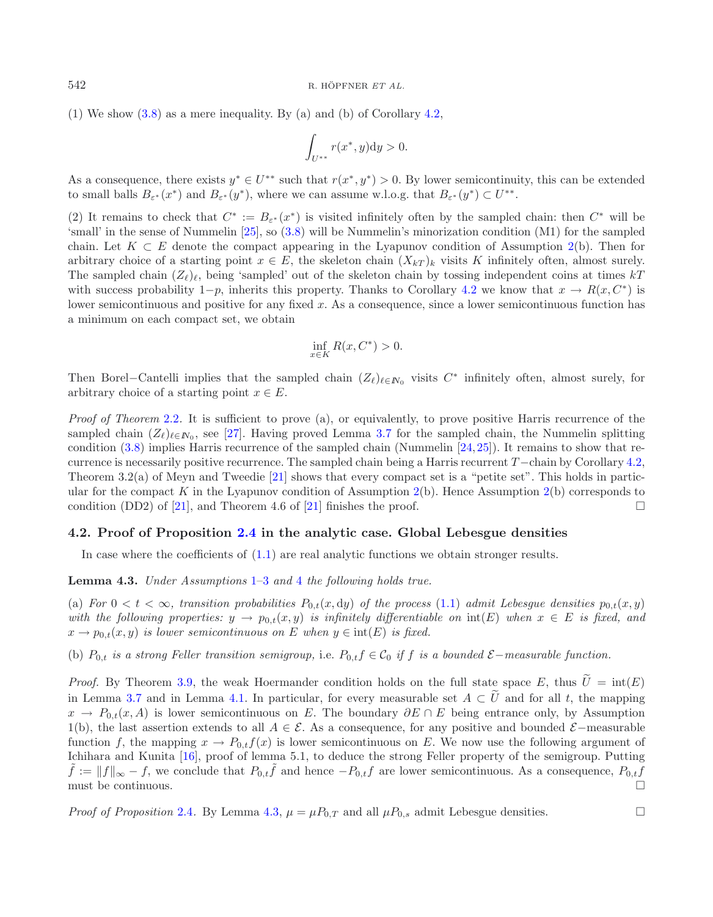(1) We show [\(3.8\)](#page-12-3) as a mere inequality. By (a) and (b) of Corollary [4.2,](#page-14-2)

$$
\int_{U^{**}} r(x^*, y) dy > 0.
$$

As a consequence, there exists  $y^* \in U^{**}$  such that  $r(x^*, y^*) > 0$ . By lower semicontinuity, this can be extended to small balls  $B_{\varepsilon^*}(x^*)$  and  $B_{\varepsilon^*}(y^*)$ , where we can assume w.l.o.g. that  $B_{\varepsilon^*}(y^*) \subset U^{**}$ .

(2) It remains to check that  $C^* := B_{\varepsilon^*}(x^*)$  is visited infinitely often by the sampled chain: then  $C^*$  will be 'small' in the sense of Nummelin [\[25\]](#page-27-5), so [\(3.8\)](#page-12-3) will be Nummelin's minorization condition (M1) for the sampled chain. Let  $K \subset E$  denote the compact appearing in the Lyapunov condition of Assumption [2\(](#page-2-1)b). Then for arbitrary choice of a starting point  $x \in E$ , the skeleton chain  $(X_{kT})_k$  visits K infinitely often, almost surely. The sampled chain  $(Z_{\ell})_{\ell}$ , being 'sampled' out of the skeleton chain by tossing independent coins at times kT with success probability 1−p, inherits this property. Thanks to Corollary [4.2](#page-14-2) we know that  $x \to R(x, C^*)$  is lower semicontinuous and positive for any fixed x. As a consequence, since a lower semicontinuous function has a minimum on each compact set, we obtain

$$
\inf_{x \in K} R(x, C^*) > 0.
$$

Then Borel–Cantelli implies that the sampled chain  $(Z_{\ell})_{\ell \in \mathbb{N}_0}$  visits  $C^*$  infinitely often, almost surely, for arbitrary choice of a starting point  $x \in E$ .

*Proof of Theorem* [2.2](#page-4-0). It is sufficient to prove (a), or equivalently, to prove positive Harris recurrence of the sampled chain  $(Z_{\ell})_{\ell \in I\!N_0}$ , see [\[27\]](#page-27-0). Having proved Lemma [3.7](#page-12-0) for the sampled chain, the Nummelin splitting condition [\(3.8\)](#page-12-3) implies Harris recurrence of the sampled chain (Nummelin [\[24](#page-27-2)[,25](#page-27-5)]). It remains to show that recurrence is necessarily positive recurrence. The sampled chain being a Harris recurrent T−chain by Corollary [4.2,](#page-14-2) Theorem 3.2(a) of Meyn and Tweedie [\[21](#page-26-4)] shows that every compact set is a "petite set". This holds in partic-ular for the compact K in the Lyapunov condition of Assumption [2\(](#page-2-1)b). Hence Assumption 2(b) corresponds to condition (DD2) of  $[21]$ , and Theorem 4.6 of  $[21]$  $[21]$  finishes the proof.  $\Box$ 

### <span id="page-15-0"></span>**4.2. Proof of Proposition [2.4](#page-5-1) in the analytic case. Global Lebesgue densities**

In case where the coefficients of [\(1.1\)](#page-0-0) are real analytic functions we obtain stronger results.

<span id="page-15-1"></span>**Lemma 4.3.** *Under Assumptions* [1–](#page-2-0)[3](#page-3-0) *and* [4](#page-3-2) *the following holds true.*

(a) For  $0 < t < \infty$ , transition probabilities  $P_{0,t}(x, dy)$  of the process [\(1.1\)](#page-0-0) admit Lebesgue densities  $p_{0,t}(x, y)$ *with the following properties:*  $y \to p_{0,t}(x, y)$  *is infinitely differentiable on*  $int(E)$  *when*  $x \in E$  *is fixed, and*  $x \to p_{0,t}(x, y)$  *is lower semicontinuous on* E when  $y \in \text{int}(E)$  *is fixed.* 

(b)  $P_{0,t}$  *is a strong Feller transition semigroup,* i.e.  $P_{0,t} f \in C_0$  *if* f *is a bounded*  $\mathcal{E}-measurable function.$ 

*Proof.* By Theorem [3.9,](#page-13-2) the weak Hoermander condition holds on the full state space E, thus  $\tilde{U} = \text{int}(E)$ in Lemma [3.7](#page-12-0) and in Lemma [4.1.](#page-14-1) In particular, for every measurable set  $A \subset \tilde{U}$  and for all t, the mapping  $x \to P_{0,t}(x, A)$  is lower semicontinuous on E. The boundary  $\partial E \cap E$  being entrance only, by Assumption 1(b), the last assertion extends to all  $A \in \mathcal{E}$ . As a consequence, for any positive and bounded  $\mathcal{E}-$ measurable function f, the mapping  $x \to P_{0,t}f(x)$  is lower semicontinuous on E. We now use the following argument of Ichihara and Kunita [\[16\]](#page-26-18), proof of lemma 5.1, to deduce the strong Feller property of the semigroup. Putting  $\tilde{f} := ||f||_{\infty} - f$ , we conclude that  $P_{0,t}\tilde{f}$  and hence  $-P_{0,t}f$  are lower semicontinuous. As a consequenc must be continuous.  $\Box$ 

*Proof of Proposition* [2.4](#page-5-1). By Lemma [4.3,](#page-15-1)  $\mu = \mu P_{0,T}$  and all  $\mu P_{0,s}$  admit Lebesgue densities.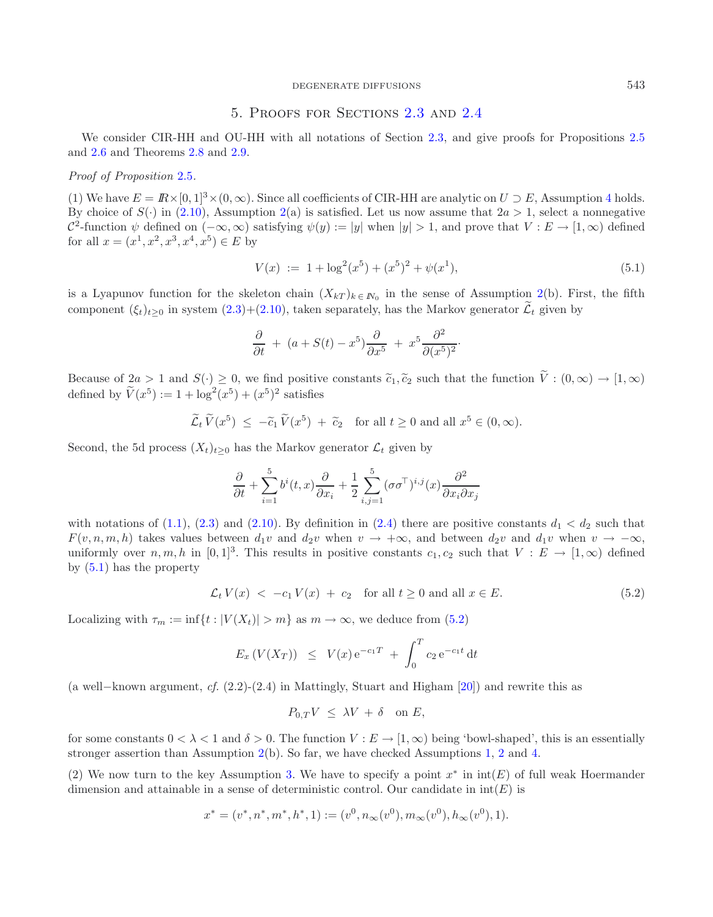### DEGENERATE DIFFUSIONS 543

## <span id="page-16-1"></span>5. Proofs for Sections [2.3](#page-5-0) and [2.4](#page-7-1)

<span id="page-16-0"></span>We consider CIR-HH and OU-HH with all notations of Section [2.3,](#page-5-0) and give proofs for Propositions [2.5](#page-6-3) and [2.6](#page-7-4) and Theorems [2.8](#page-8-1) and [2.9.](#page-8-0)

## *Proof of Proposition* [2.5](#page-6-3)*.*

(1) We have  $E = \mathbb{R} \times [0, 1]^3 \times (0, \infty)$ . Since all coefficients of CIR-HH are analytic on  $U \supset E$ , Assumption [4](#page-3-2) holds. By choice of  $S(\cdot)$  in [\(2.10\)](#page-6-2), Assumption [2\(](#page-2-1)a) is satisfied. Let us now assume that  $2a > 1$ , select a nonnegative  $\mathcal{C}^2$ -function  $\psi$  defined on  $(-\infty,\infty)$  satisfying  $\psi(y) := |y|$  when  $|y| > 1$ , and prove that  $V : E \to [1,\infty)$  defined for all  $x = (x^1, x^2, x^3, x^4, x^5) \in E$  by

$$
V(x) := 1 + \log^{2}(x^{5}) + (x^{5})^{2} + \psi(x^{1}), \qquad (5.1)
$$

is a Lyapunov function for the skeleton chain  $(X_{kT})_{k \in N_0}$  in the sense of Assumption [2\(](#page-2-1)b). First, the fifth component  $(\xi_t)_{t\geq0}$  in system  $(2.3)+(2.10)$  $(2.3)+(2.10)$  $(2.3)+(2.10)$ , taken separately, has the Markov generator  $\widetilde{\mathcal{L}}_t$  given by

$$
\frac{\partial}{\partial t} + (a + S(t) - x^5) \frac{\partial}{\partial x^5} + x^5 \frac{\partial^2}{\partial (x^5)^2}.
$$

<span id="page-16-2"></span>Because of  $2a > 1$  and  $S(\cdot) \geq 0$ , we find positive constants  $\tilde{c}_1, \tilde{c}_2$  such that the function  $\tilde{V}: (0, \infty) \to [1, \infty)$ defined by  $\widetilde{V}(x^5) := 1 + \log^2(x^5) + (x^5)^2$  satisfies

$$
\widetilde{\mathcal{L}}_t \widetilde{V}(x^5) \le -\widetilde{c}_1 \widetilde{V}(x^5) + \widetilde{c}_2
$$
 for all  $t \ge 0$  and all  $x^5 \in (0, \infty)$ .

Second, the 5d process  $(X_t)_{t>0}$  has the Markov generator  $\mathcal{L}_t$  given by

$$
\frac{\partial}{\partial t} + \sum_{i=1}^5 b^i(t,x) \frac{\partial}{\partial x_i} + \frac{1}{2} \sum_{i,j=1}^5 (\sigma\sigma^{\!\top})^{i,j}(x) \frac{\partial^2}{\partial x_i \partial x_j}
$$

with notations of [\(1.1\)](#page-0-0), [\(2.3\)](#page-5-2) and [\(2.10\)](#page-6-2). By definition in [\(2.4\)](#page-5-3) there are positive constants  $d_1 < d_2$  such that  $F(v, n, m, h)$  takes values between  $d_1v$  and  $d_2v$  when  $v \to +\infty$ , and between  $d_2v$  and  $d_1v$  when  $v \to -\infty$ , uniformly over  $n, m, h$  in  $[0, 1]^3$ . This results in positive constants  $c_1, c_2$  such that  $V : E \to [1, \infty)$  defined by [\(5.1\)](#page-16-1) has the property

$$
\mathcal{L}_t V(x) < -c_1 V(x) + c_2 \quad \text{for all } t \ge 0 \text{ and all } x \in E. \tag{5.2}
$$

Localizing with  $\tau_m := \inf\{t : |V(X_t)| > m\}$  as  $m \to \infty$ , we deduce from [\(5.2\)](#page-16-2)

$$
E_x(V(X_T)) \leq V(x) e^{-c_1T} + \int_0^T c_2 e^{-c_1t} dt
$$

(a well−known argument, *cf.* (2.2)-(2.4) in Mattingly, Stuart and Higham [\[20\]](#page-26-19)) and rewrite this as

$$
P_{0,T}V \leq \lambda V + \delta \quad \text{on } E,
$$

for some constants  $0 < \lambda < 1$  and  $\delta > 0$ . The function  $V : E \to [1, \infty)$  being 'bowl-shaped', this is an essentially stronger assertion than Assumption [2\(](#page-2-1)b). So far, we have checked Assumptions [1,](#page-2-0) [2](#page-2-1) and [4.](#page-3-2)

(2) We now turn to the key Assumption [3.](#page-3-0) We have to specify a point  $x^*$  in  $int(E)$  of full weak Hoermander dimension and attainable in a sense of deterministic control. Our candidate in  $int(E)$  is

$$
x^* = (v^*, n^*, m^*, h^*, 1) := (v^0, n_{\infty}(v^0), m_{\infty}(v^0), h_{\infty}(v^0), 1).
$$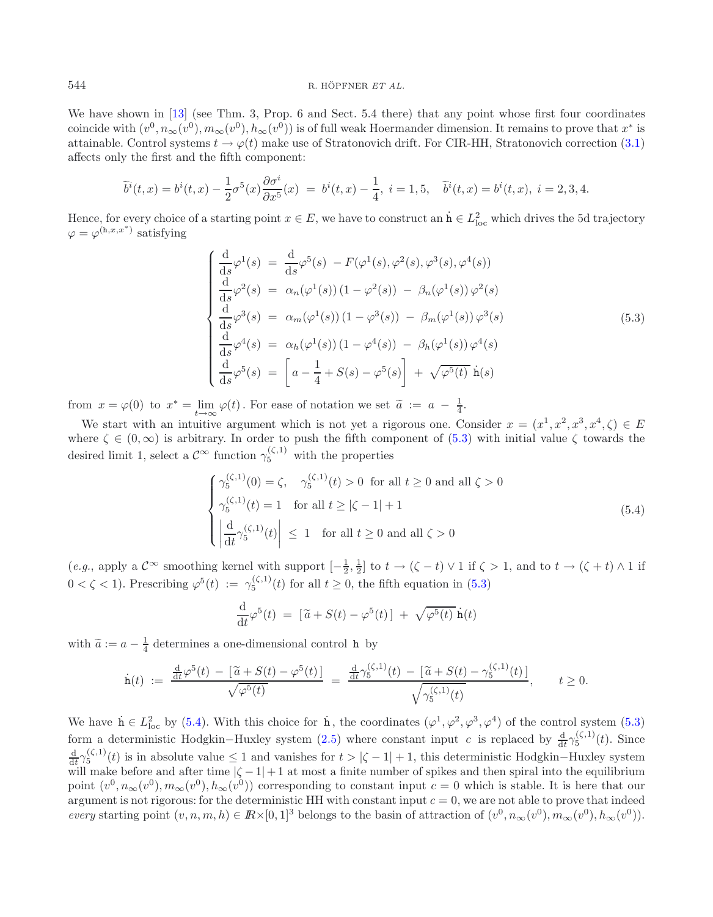We have shown in [\[13\]](#page-26-0) (see Thm. 3, Prop. 6 and Sect. 5.4 there) that any point whose first four coordinates coincide with  $(v^0, n_\infty(v^0), m_\infty(v^0), h_\infty(v^0))$  is of full weak Hoermander dimension. It remains to prove that  $x^*$  is attainable. Control systems  $t \to \varphi(t)$  make use of Stratonovich drift. For CIR-HH, Stratonovich correction [\(3.1\)](#page-9-2) affects only the first and the fifth component:

$$
\widetilde{b}^{i}(t,x) = b^{i}(t,x) - \frac{1}{2}\sigma^{5}(x)\frac{\partial\sigma^{i}}{\partial x^{5}}(x) = b^{i}(t,x) - \frac{1}{4}, i = 1,5, \quad \widetilde{b}^{i}(t,x) = b^{i}(t,x), i = 2,3,4.
$$

Hence, for every choice of a starting point  $x \in E$ , we have to construct an  $\dot{h} \in L^2_{loc}$  which drives the 5d trajectory  $\varphi = \varphi^{(h,x,x^*)}$  satisfying

<span id="page-17-1"></span>
$$
\begin{cases}\n\frac{d}{ds}\varphi^{1}(s) = \frac{d}{ds}\varphi^{5}(s) - F(\varphi^{1}(s), \varphi^{2}(s), \varphi^{3}(s), \varphi^{4}(s)) \\
\frac{d}{ds}\varphi^{2}(s) = \alpha_{n}(\varphi^{1}(s)) (1 - \varphi^{2}(s)) - \beta_{n}(\varphi^{1}(s)) \varphi^{2}(s) \\
\frac{d}{ds}\varphi^{3}(s) = \alpha_{m}(\varphi^{1}(s)) (1 - \varphi^{3}(s)) - \beta_{m}(\varphi^{1}(s)) \varphi^{3}(s) \\
\frac{d}{ds}\varphi^{4}(s) = \alpha_{h}(\varphi^{1}(s)) (1 - \varphi^{4}(s)) - \beta_{h}(\varphi^{1}(s)) \varphi^{4}(s) \\
\frac{d}{ds}\varphi^{5}(s) = \left[a - \frac{1}{4} + S(s) - \varphi^{5}(s)\right] + \sqrt{\varphi^{5}(t)} \hat{\mathbf{n}}(s)\n\end{cases}
$$
\n(5.3)

from  $x = \varphi(0)$  to  $x^* = \lim_{t \to \infty} \varphi(t)$ . For ease of notation we set  $\tilde{a} := a - \frac{1}{4}$ .

We start with an intuitive argument which is not yet a rigorous one. Consider  $x = (x^1, x^2, x^3, x^4, \zeta) \in E$ where  $\zeta \in (0,\infty)$  is arbitrary. In order to push the fifth component of  $(5.3)$  with initial value  $\zeta$  towards the desired limit 1, select a  $\mathcal{C}^{\infty}$  function  $\gamma_5^{(\zeta,1)}$  with the properties

$$
\begin{cases}\n\gamma_5^{(\zeta,1)}(0) = \zeta, & \gamma_5^{(\zeta,1)}(t) > 0 \text{ for all } t \ge 0 \text{ and all } \zeta > 0 \\
\gamma_5^{(\zeta,1)}(t) = 1 & \text{for all } t \ge |\zeta - 1| + 1 \\
\left| \frac{d}{dt} \gamma_5^{(\zeta,1)}(t) \right| \le 1 & \text{for all } t \ge 0 \text{ and all } \zeta > 0\n\end{cases}
$$
\n(5.4)

 $(e.g.,\text{ apply a } \mathcal{C}^{\infty}\text{ smoothing kernel with support } [-\frac{1}{2},\frac{1}{2}] \text{ to } t \to (\zeta-t) \vee 1 \text{ if } \zeta > 1, \text{ and to } t \to (\zeta+t) \wedge 1 \text{ if } t \to \frac{1}{2}$  $0 < \zeta < 1$ ). Prescribing  $\varphi^5(t) := \gamma_5^{(\zeta,1)}(t)$  for all  $t \geq 0$ , the fifth equation in [\(5.3\)](#page-17-0)

$$
\frac{\mathrm{d}}{\mathrm{d}t}\varphi^5(t) = [\widetilde{a} + S(t) - \varphi^5(t)] + \sqrt{\varphi^5(t)}\,\dot{\mathbf{h}}(t)
$$

with  $\tilde{a} := a - \frac{1}{4}$  determines a one-dimensional control **h** by

$$
\dot{\mathbf{h}}(t) \; := \; \frac{\frac{d}{dt}\varphi^5(t) \; - \; \left[ \widetilde{a} + S(t) - \varphi^5(t) \right]}{\sqrt{\varphi^5(t)}} \; = \; \frac{\frac{d}{dt}\gamma_5^{(\zeta,1)}(t) \; - \; \left[ \widetilde{a} + S(t) - \gamma_5^{(\zeta,1)}(t) \right]}{\sqrt{\gamma_5^{(\zeta,1)}(t)}}, \qquad t \ge 0.
$$

We have  $\dot{\mathbf{n}} \in L^2_{\text{loc}}$  by [\(5.4\)](#page-17-1). With this choice for  $\dot{\mathbf{n}}$ , the coordinates  $(\varphi^1, \varphi^2, \varphi^3, \varphi^4)$  of the control system [\(5.3\)](#page-17-0) form a deterministic Hodgkin–Huxley system [\(2.5\)](#page-6-0) where constant input c is replaced by  $\frac{d}{dt}\gamma_5^{(\zeta,1)}(t)$ . Since  $\frac{d}{dt}\gamma_5^{(\zeta,1)}(t)$  is in absolute value  $\leq 1$  and vanishes for  $t > |\zeta - 1| + 1$ , this deterministic Hodgkin–Huxley system will make before and after time  $|\zeta - 1| + 1$  at most a finite number of spikes and then spiral into the equilibrium point  $(v^0, n_{\infty}(v^0), m_{\infty}(v^0), h_{\infty}(v^0))$  corresponding to constant input  $c = 0$  which is stable. It is here that our argument is not rigorous: for the deterministic HH with constant input  $c = 0$ , we are not able to prove that indeed *every* starting point  $(v, n, m, h) \in \mathbb{R} \times [0, 1]^3$  belongs to the basin of attraction of  $(v^0, n_{\infty}(v^0), m_{\infty}(v^0), h_{\infty}(v^0))$ .

<span id="page-17-0"></span>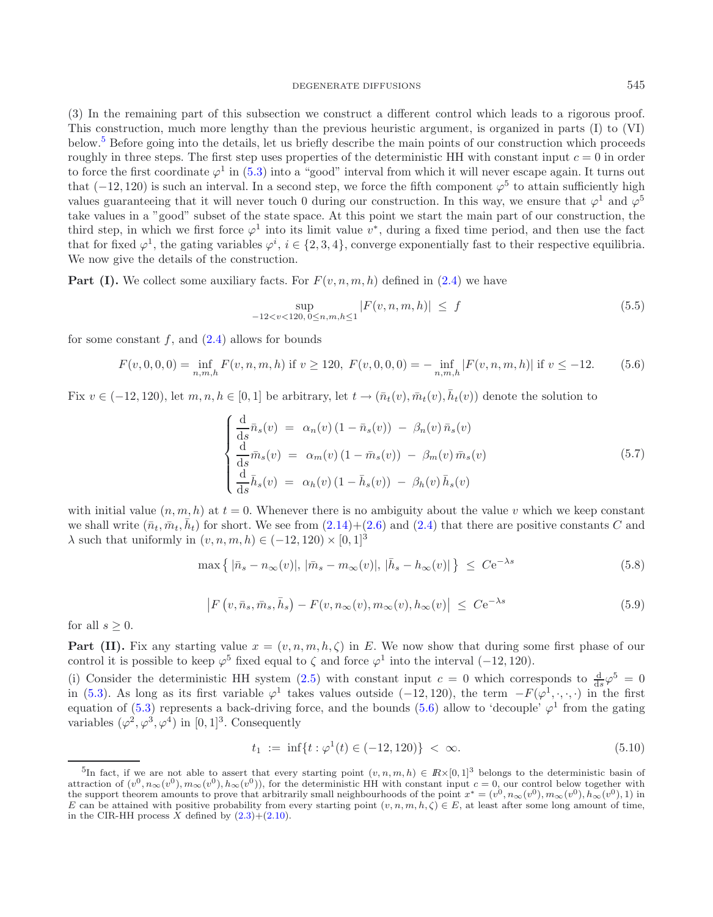### <span id="page-18-5"></span><span id="page-18-4"></span><span id="page-18-1"></span>DEGENERATE DIFFUSIONS 545

(3) In the remaining part of this subsection we construct a different control which leads to a rigorous proof. This construction, much more lengthy than the previous heuristic argument, is organized in parts (I) to (VI) below.[5](#page-18-0) Before going into the details, let us briefly describe the main points of our construction which proceeds roughly in three steps. The first step uses properties of the deterministic HH with constant input  $c = 0$  in order to force the first coordinate  $\varphi^1$  in [\(5.3\)](#page-17-0) into a "good" interval from which it will never escape again. It turns out that (−12, 120) is such an interval. In a second step, we force the fifth component  $\varphi^5$  to attain sufficiently high values guaranteeing that it will never touch 0 during our construction. In this way, we ensure that  $\varphi^1$  and  $\varphi^5$ take values in a "good" subset of the state space. At this point we start the main part of our construction, the third step, in which we first force  $\varphi^1$  into its limit value  $v^*$ , during a fixed time period, and then use the fact that for fixed  $\varphi^1$ , the gating variables  $\varphi^i$ ,  $i \in \{2,3,4\}$ , converge exponentially fast to their respective equilibria. We now give the details of the construction.

**Part (I).** We collect some auxiliary facts. For  $F(v, n, m, h)$  defined in [\(2.4\)](#page-5-3) we have

<span id="page-18-2"></span>
$$
\sup_{-12 < v < 120, \, 0 \le n, m, h \le 1} |F(v, n, m, h)| \le f \tag{5.5}
$$

for some constant  $f$ , and  $(2.4)$  allows for bounds

$$
F(v,0,0,0) = \inf_{n,m,h} F(v,n,m,h) \text{ if } v \ge 120, \ F(v,0,0,0) = -\inf_{n,m,h} |F(v,n,m,h)| \text{ if } v \le -12. \tag{5.6}
$$

<span id="page-18-3"></span>Fix  $v \in (-12, 120)$ , let  $m, n, h \in [0, 1]$  be arbitrary, let  $t \to (\bar{n}_t(v), \bar{m}_t(v), \bar{h}_t(v))$  denote the solution to

$$
\begin{cases}\n\frac{\mathrm{d}}{\mathrm{d}s}\bar{n}_s(v) = \alpha_n(v)(1-\bar{n}_s(v)) - \beta_n(v)\bar{n}_s(v) \\
\frac{\mathrm{d}}{\mathrm{d}s}\bar{m}_s(v) = \alpha_m(v)(1-\bar{m}_s(v)) - \beta_m(v)\bar{m}_s(v) \\
\frac{\mathrm{d}}{\mathrm{d}s}\bar{h}_s(v) = \alpha_h(v)(1-\bar{h}_s(v)) - \beta_h(v)\bar{h}_s(v)\n\end{cases}
$$
\n(5.7)

with initial value  $(n, m, h)$  at  $t = 0$ . Whenever there is no ambiguity about the value v which we keep constant we shall write  $(\bar{n}_t, \bar{m}_t, \bar{h}_t)$  for short. We see from  $(2.14)+(2.6)$  $(2.14)+(2.6)$  $(2.14)+(2.6)$  and  $(2.4)$  that there are positive constants C and  $\lambda$  such that uniformly in  $(v, n, m, h) \in (-12, 120) \times [0, 1]^3$ 

$$
\max\left\{ |\bar{n}_s - n_{\infty}(v)|, |\bar{m}_s - m_{\infty}(v)|, |\bar{h}_s - h_{\infty}(v)| \right\} \leq C e^{-\lambda s}
$$
\n(5.8)

$$
\left| F\left(v, \bar{n}_s, \bar{m}_s, \bar{h}_s\right) - F(v, n_\infty(v), m_\infty(v), h_\infty(v) \right| \leq C e^{-\lambda s} \tag{5.9}
$$

<span id="page-18-0"></span>for all  $s \geq 0$ .

**Part (II).** Fix any starting value  $x = (v, n, m, h, \zeta)$  in E. We now show that during some first phase of our control it is possible to keep  $\varphi^5$  fixed equal to  $\zeta$  and force  $\varphi^1$  into the interval (−12, 120).

(i) Consider the deterministic HH system [\(2.5\)](#page-6-0) with constant input  $c = 0$  which corresponds to  $\frac{d}{ds}\varphi^5 = 0$ in [\(5.3\)](#page-17-0). As long as its first variable  $\varphi^1$  takes values outside (−12, 120), the term  $-F(\varphi^1, \cdot, \cdot, \cdot)$  in the first equation of [\(5.3\)](#page-17-0) represents a back-driving force, and the bounds [\(5.6\)](#page-18-1) allow to 'decouple'  $\varphi^1$  from the gating variables  $(\varphi^2, \varphi^3, \varphi^4)$  in [0, 1]<sup>3</sup>. Consequently

$$
t_1 := \inf\{t : \varphi^1(t) \in (-12, 120)\} < \infty. \tag{5.10}
$$

<sup>&</sup>lt;sup>5</sup>In fact, if we are not able to assert that every starting point  $(v, n, m, h) \in \mathbb{R} \times [0, 1]^3$  belongs to the deterministic basin of attraction of  $(v^0, n_{\infty}(v^0), m_{\infty}(v^0), h_{\infty}(v^0))$ , for the deterministic HH with constant input  $c = 0$ , our control below together with the support theorem amounts to prove that arbitrarily small neighbourhoods of the point  $x^* = (v^0, n_{\infty}(v^0), m_{\infty}(v^0), h_{\infty}(v^0), 1)$  in E can be attained with positive probability from every starting point  $(v, n, m, h, \zeta) \in E$ , at least after some long amount of time, in the CIR-HH process X defined by  $(2.3)+(2.10)$  $(2.3)+(2.10)$  $(2.3)+(2.10)$ .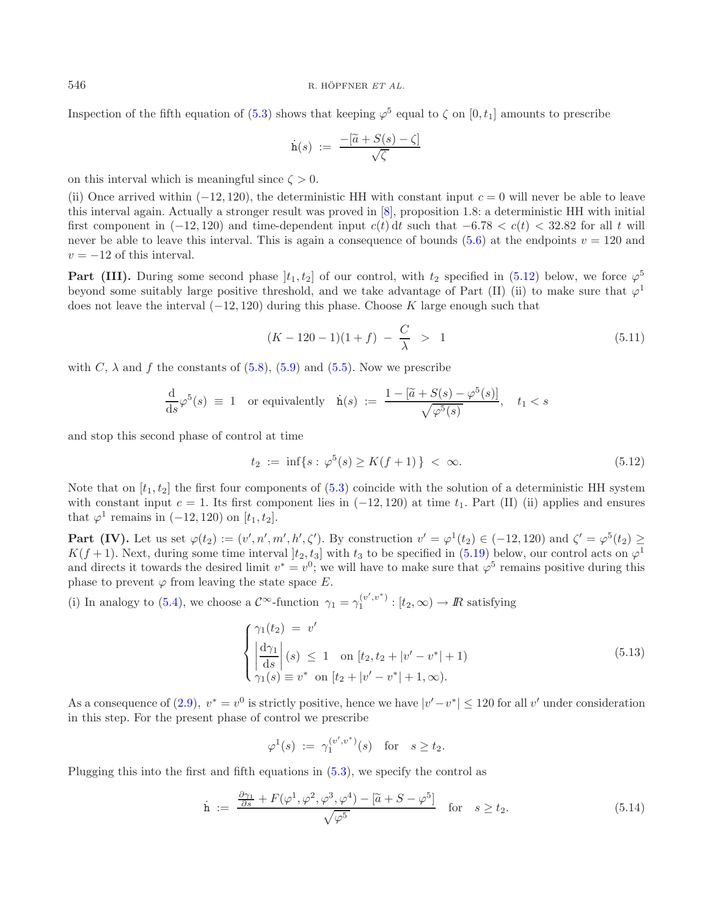Inspection of the fifth equation of [\(5.3\)](#page-17-0) shows that keeping  $\varphi^5$  equal to  $\zeta$  on [0, t<sub>1</sub>] amounts to prescribe

<span id="page-19-3"></span>
$$
\dot{\mathbf{h}}(s) := \frac{-[\widetilde{a} + S(s) - \zeta]}{\sqrt{\zeta}}
$$

on this interval which is meaningful since  $\zeta > 0$ .

(ii) Once arrived within  $(-12, 120)$ , the deterministic HH with constant input  $c = 0$  will never be able to leave this interval again. Actually a stronger result was proved in [\[8\]](#page-26-8), proposition 1.8: a deterministic HH with initial first component in  $(-12, 120)$  and time-dependent input  $c(t) dt$  such that  $-6.78 < c(t) < 32.82$  for all t will never be able to leave this interval. This is again a consequence of bounds [\(5.6\)](#page-18-1) at the endpoints  $v = 120$  and  $v = -12$  of this interval.

**Part (III).** During some second phase  $|t_1, t_2|$  of our control, with  $t_2$  specified in [\(5.12\)](#page-19-0) below, we force  $\varphi^5$ beyond some suitably large positive threshold, and we take advantage of Part (II) (ii) to make sure that  $\varphi^1$ does not leave the interval  $(-12, 120)$  during this phase. Choose K large enough such that

<span id="page-19-0"></span>
$$
(K - 120 - 1)(1 + f) - \frac{C}{\lambda} > 1 \tag{5.11}
$$

with C,  $\lambda$  and f the constants of [\(5.8\)](#page-18-2), [\(5.9\)](#page-18-3) and [\(5.5\)](#page-18-4). Now we prescribe

$$
\frac{\mathrm{d}}{\mathrm{d}s}\varphi^5(s) \equiv 1 \quad \text{or equivalently} \quad \dot{\mathbf{h}}(s) := \frac{1 - [\tilde{a} + S(s) - \varphi^5(s)]}{\sqrt{\varphi^5(s)}}, \quad t_1 < s
$$

and stop this second phase of control at time

<span id="page-19-1"></span>
$$
t_2 := \inf\{s : \varphi^5(s) \ge K(f+1)\} < \infty. \tag{5.12}
$$

Note that on  $[t_1, t_2]$  the first four components of [\(5.3\)](#page-17-0) coincide with the solution of a deterministic HH system with constant input  $c = 1$ . Its first component lies in  $(-12, 120)$  at time  $t_1$ . Part (II) (ii) applies and ensures that  $\varphi^1$  remains in (−12, 120) on [t<sub>1</sub>, t<sub>2</sub>].

**Part (IV).** Let us set  $\varphi(t_2) := (v', n', m', h', \zeta')$ . By construction  $v' = \varphi^1(t_2) \in (-12, 120)$  and  $\zeta' = \varphi^5(t_2) \ge$  $K(f+1)$ . Next, during some time interval  $[t_2, t_3]$  with  $t_3$  to be specified in [\(5.19\)](#page-20-0) below, our control acts on  $\varphi^1$ and directs it towards the desired limit  $v^* = v^0$ ; we will have to make sure that  $\varphi^5$  remains positive during this phase to prevent  $\varphi$  from leaving the state space E.

(i) In analogy to [\(5.4\)](#page-17-1), we choose a  $\mathcal{C}^{\infty}$ -function  $\gamma_1 = \gamma_1^{(v',v^*)} : [t_2,\infty) \to \mathbb{R}$  satisfying

<span id="page-19-2"></span>
$$
\begin{cases}\n\gamma_1(t_2) = v' \\
\left|\frac{d\gamma_1}{ds}\right|(s) \le 1 \quad \text{on } [t_2, t_2 + |v' - v^*| + 1) \\
\gamma_1(s) = v^* \quad \text{on } [t_2 + |v' - v^*| + 1, \infty).\n\end{cases}
$$
\n(5.13)

As a consequence of [\(2.9\)](#page-6-5),  $v^* = v^0$  is strictly positive, hence we have  $|v'-v^*| \le 120$  for all v' under consideration in this step. For the present phase of control we prescribe

$$
\varphi^1(s) := \gamma_1^{(v',v^*)}(s) \text{ for } s \ge t_2.
$$

Plugging this into the first and fifth equations in [\(5.3\)](#page-17-0), we specify the control as

$$
\dot{\mathbf{h}} := \frac{\frac{\partial \gamma_1}{\partial s} + F(\varphi^1, \varphi^2, \varphi^3, \varphi^4) - [\tilde{a} + S - \varphi^5]}{\sqrt{\varphi^5}} \quad \text{for} \quad s \ge t_2.
$$
\n(5.14)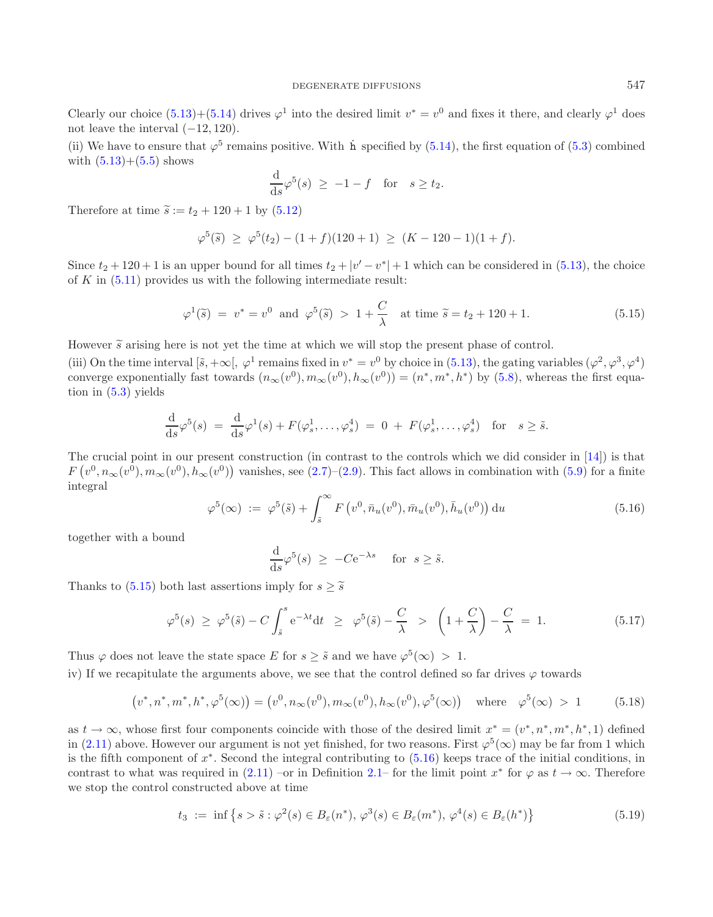Clearly our choice [\(5.13\)](#page-19-1)+[\(5.14\)](#page-19-2) drives  $\varphi^1$  into the desired limit  $v^* = v^0$  and fixes it there, and clearly  $\varphi^1$  does not leave the interval  $(-12, 120)$ .

(ii) We have to ensure that  $\varphi^5$  remains positive. With h specified by [\(5.14\)](#page-19-2), the first equation of [\(5.3\)](#page-17-0) combined with  $(5.13)+(5.5)$  $(5.13)+(5.5)$  $(5.13)+(5.5)$  shows

<span id="page-20-1"></span>
$$
\frac{\mathrm{d}}{\mathrm{d}s}\varphi^5(s) \ge -1 - f \quad \text{for} \quad s \ge t_2.
$$

Therefore at time  $\tilde{s} := t_2 + 120 + 1$  by  $(5.12)$ 

$$
\varphi^5(\tilde{s}) \ge \varphi^5(t_2) - (1+f)(120+1) \ge (K-120-1)(1+f).
$$

<span id="page-20-2"></span>Since  $t_2 + 120 + 1$  is an upper bound for all times  $t_2 + |v' - v^*| + 1$  which can be considered in [\(5.13\)](#page-19-1), the choice of  $K$  in  $(5.11)$  provides us with the following intermediate result:

$$
\varphi^1(\tilde{s}) = v^* = v^0 \text{ and } \varphi^5(\tilde{s}) > 1 + \frac{C}{\lambda} \text{ at time } \tilde{s} = t_2 + 120 + 1. \tag{5.15}
$$

However  $\tilde{s}$  arising here is not yet the time at which we will stop the present phase of control.

(iii) On the time interval  $[\tilde{s}, +\infty], \varphi^1$  remains fixed in  $v^* = v^0$  by choice in [\(5.13\)](#page-19-1), the gating variables  $(\varphi^2, \varphi^3, \varphi^4)$ converge exponentially fast towards  $(n_{\infty}(v^0), m_{\infty}(v^0), h_{\infty}(v^0)) = (n^*, m^*, h^*)$  by [\(5.8\)](#page-18-2), whereas the first equation in [\(5.3\)](#page-17-0) yields

$$
\frac{\mathrm{d}}{\mathrm{d}s}\varphi^5(s) = \frac{\mathrm{d}}{\mathrm{d}s}\varphi^1(s) + F(\varphi_s^1,\dots,\varphi_s^4) = 0 + F(\varphi_s^1,\dots,\varphi_s^4) \quad \text{for} \quad s \geq \tilde{s}.
$$

The crucial point in our present construction (in contrast to the controls which we did consider in [\[14\]](#page-26-1)) is that  $F(v^0, n_{\infty}(v^0), m_{\infty}(v^0), h_{\infty}(v^0))$  vanishes, see [\(2.7\)](#page-6-6)–[\(2.9\)](#page-6-5). This fact allows in combination with [\(5.9\)](#page-18-3) for a finite integral

$$
\varphi^{5}(\infty) := \varphi^{5}(\tilde{s}) + \int_{\tilde{s}}^{\infty} F(v^{0}, \bar{n}_{u}(v^{0}), \bar{m}_{u}(v^{0}), \bar{h}_{u}(v^{0})) du
$$
\n(5.16)

together with a bound

$$
\frac{\mathrm{d}}{\mathrm{d}s}\varphi^5(s) \ge -Ce^{-\lambda s} \quad \text{for } s \ge \tilde{s}.
$$

Thanks to [\(5.15\)](#page-20-1) both last assertions imply for  $s \geq \tilde{s}$ 

<span id="page-20-0"></span>
$$
\varphi^5(s) \ge \varphi^5(\tilde{s}) - C \int_{\tilde{s}}^s e^{-\lambda t} dt \ge \varphi^5(\tilde{s}) - \frac{C}{\lambda} > \left(1 + \frac{C}{\lambda}\right) - \frac{C}{\lambda} = 1.
$$
 (5.17)

Thus  $\varphi$  does not leave the state space E for  $s \geq \tilde{s}$  and we have  $\varphi^5(\infty) > 1$ .

iv) If we recapitulate the arguments above, we see that the control defined so far drives  $\varphi$  towards

$$
(v^*, n^*, m^*, h^*, \varphi^5(\infty)) = (v^0, n_{\infty}(v^0), m_{\infty}(v^0), h_{\infty}(v^0), \varphi^5(\infty)) \text{ where } \varphi^5(\infty) > 1 \quad (5.18)
$$

as  $t \to \infty$ , whose first four components coincide with those of the desired limit  $x^* = (v^*, n^*, m^*, h^*, 1)$  defined in [\(2.11\)](#page-7-6) above. However our argument is not yet finished, for two reasons. First  $\varphi^5(\infty)$  may be far from 1 which is the fifth component of  $x^*$ . Second the integral contributing to  $(5.16)$  keeps trace of the initial conditions, in contrast to what was required in  $(2.11)$  –or in Definition [2.1–](#page-3-1) for the limit point  $x^*$  for  $\varphi$  as  $t \to \infty$ . Therefore we stop the control constructed above at time

$$
t_3 := \inf \left\{ s > \tilde{s} : \varphi^2(s) \in B_{\varepsilon}(n^*), \, \varphi^3(s) \in B_{\varepsilon}(m^*), \, \varphi^4(s) \in B_{\varepsilon}(h^*) \right\}
$$
(5.19)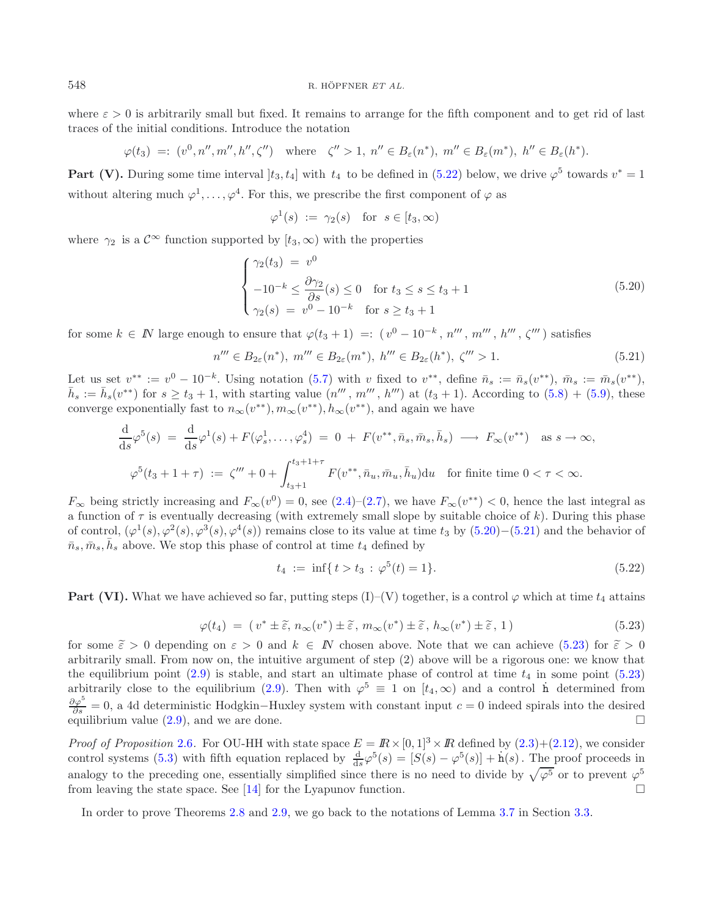where  $\varepsilon > 0$  is arbitrarily small but fixed. It remains to arrange for the fifth component and to get rid of last traces of the initial conditions. Introduce the notation

$$
\varphi(t_3) =: (v^0, n'', m'', h'', \zeta'') \quad \text{where} \quad \zeta'' > 1, \ n'' \in B_{\varepsilon}(n^*), \ m'' \in B_{\varepsilon}(m^*), \ h'' \in B_{\varepsilon}(h^*).
$$

**Part (V).** During some time interval  $[t_3, t_4]$  with  $t_4$  to be defined in [\(5.22\)](#page-21-0) below, we drive  $\varphi^5$  towards  $v^* = 1$ without altering much  $\varphi^1,\ldots,\varphi^4$ . For this, we prescribe the first component of  $\varphi$  as

<span id="page-21-2"></span><span id="page-21-1"></span>
$$
\varphi^1(s) := \gamma_2(s) \quad \text{for } s \in [t_3, \infty)
$$

where  $\gamma_2$  is a  $\mathcal{C}^{\infty}$  function supported by  $[t_3,\infty)$  with the properties

$$
\begin{cases}\n\gamma_2(t_3) = v^0 \\
-10^{-k} \le \frac{\partial \gamma_2}{\partial s}(s) \le 0 \quad \text{for } t_3 \le s \le t_3 + 1 \\
\gamma_2(s) = v^0 - 10^{-k} \quad \text{for } s \ge t_3 + 1\n\end{cases}
$$
\n(5.20)

for some  $k \in \mathbb{N}$  large enough to ensure that  $\varphi(t_3 + 1) =: (v^0 - 10^{-k}, n''', m''', h''', \zeta'''')$  satisfies

<span id="page-21-0"></span>
$$
n''' \in B_{2\varepsilon}(n^*), \ m''' \in B_{2\varepsilon}(m^*), \ h''' \in B_{2\varepsilon}(h^*), \ \zeta''' > 1. \tag{5.21}
$$

<span id="page-21-3"></span>Let us set  $v^{**} := v^0 - 10^{-k}$ . Using notation [\(5.7\)](#page-18-5) with v fixed to  $v^{**}$ , define  $\bar{n}_s := \bar{n}_s(v^{**})$ ,  $\bar{m}_s := \bar{m}_s(v^{**})$ ,  $\bar{h}_s := \bar{h}_s(v^{**})$  for  $s \ge t_3 + 1$ , with starting value  $(n''', m''', h''')$  at  $(t_3 + 1)$ . According to  $(5.8) + (5.9)$  $(5.8) + (5.9)$  $(5.8) + (5.9)$ , these converge exponentially fast to  $n_{\infty}(v^{**}), m_{\infty}(v^{**}), h_{\infty}(v^{**}),$  and again we have

$$
\frac{\mathrm{d}}{\mathrm{d}s}\varphi^5(s) = \frac{\mathrm{d}}{\mathrm{d}s}\varphi^1(s) + F(\varphi_s^1, \dots, \varphi_s^4) = 0 + F(v^{**}, \bar{n}_s, \bar{m}_s, \bar{h}_s) \longrightarrow F_{\infty}(v^{**}) \text{ as } s \to \infty,
$$
  

$$
\varphi^5(t_3 + 1 + \tau) := \zeta''' + 0 + \int_{t_3 + 1}^{t_3 + 1 + \tau} F(v^{**}, \bar{n}_u, \bar{m}_u, \bar{h}_u) \mathrm{d}u \text{ for finite time } 0 < \tau < \infty.
$$

 $F_{\infty}$  being strictly increasing and  $F_{\infty}(v^0) = 0$ , see  $(2.4)–(2.7)$  $(2.4)–(2.7)$  $(2.4)–(2.7)$ , we have  $F_{\infty}(v^{**}) < 0$ , hence the last integral as a function of  $\tau$  is eventually decreasing (with extremely small slope by suitable choice of k). During this phase of control,  $(\varphi^1(s), \varphi^2(s), \varphi^3(s), \varphi^4(s))$  remains close to its value at time t<sub>3</sub> by  $(5.20)–(5.21)$  $(5.20)–(5.21)$  $(5.20)–(5.21)$  and the behavior of  $\bar{n}_s, \bar{m}_s, \bar{h}_s$  above. We stop this phase of control at time  $t_4$  defined by

$$
t_4 := \inf\{t > t_3 : \varphi^5(t) = 1\}.
$$
\n(5.22)

**Part (VI).** What we have achieved so far, putting steps (I)–(V) together, is a control  $\varphi$  which at time  $t_4$  attains

$$
\varphi(t_4) = (v^* \pm \tilde{\varepsilon}, n_{\infty}(v^*) \pm \tilde{\varepsilon}, m_{\infty}(v^*) \pm \tilde{\varepsilon}, h_{\infty}(v^*) \pm \tilde{\varepsilon}, 1)
$$
\n(5.23)

for some  $\tilde{\varepsilon} > 0$  depending on  $\varepsilon > 0$  and  $k \in \mathbb{N}$  chosen above. Note that we can achieve [\(5.23\)](#page-21-3) for  $\tilde{\varepsilon} > 0$ <br>orbitrarily small. From now on the intuitive groupont of stop (2) above will be a risercus enoug arbitrarily small. From now on, the intuitive argument of step (2) above will be a rigorous one: we know that the equilibrium point  $(2.9)$  is stable, and start an ultimate phase of control at time  $t_4$  in some point  $(5.23)$ arbitrarily close to the equilibrium [\(2.9\)](#page-6-5). Then with  $\varphi^5 \equiv 1$  on  $[t_4, \infty)$  and a control h determined from  $\frac{\partial \varphi^5}{\partial s} = 0$ , a 4d deterministic Hodgkin–Huxley system with constant input  $c = 0$  indeed spirals into the desired equilibrium value  $(2.9)$ , and we are done.

*Proof of Proposition* [2.6](#page-7-4). For OU-HH with state space  $E = \mathbb{R} \times [0, 1]^3 \times \mathbb{R}$  defined by  $(2.3) + (2.12)$  $(2.3) + (2.12)$  $(2.3) + (2.12)$ , we consider control systems [\(5.3\)](#page-17-0) with fifth equation replaced by  $\frac{d}{ds}\varphi^5(s) = [S(s) - \varphi^5(s)] + \dot{h}(s)$ . The proof proceeds in analogy to the preceding one, essentially simplified since there is no need to divide by  $\sqrt{\varphi^5}$  or to prevent  $\varphi^5$ from leaving the state space. See [\[14\]](#page-26-1) for the Lyapunov function. -

In order to prove Theorems [2.8](#page-8-1) and [2.9,](#page-8-0) we go back to the notations of Lemma [3.7](#page-12-0) in Section [3.3.](#page-12-4)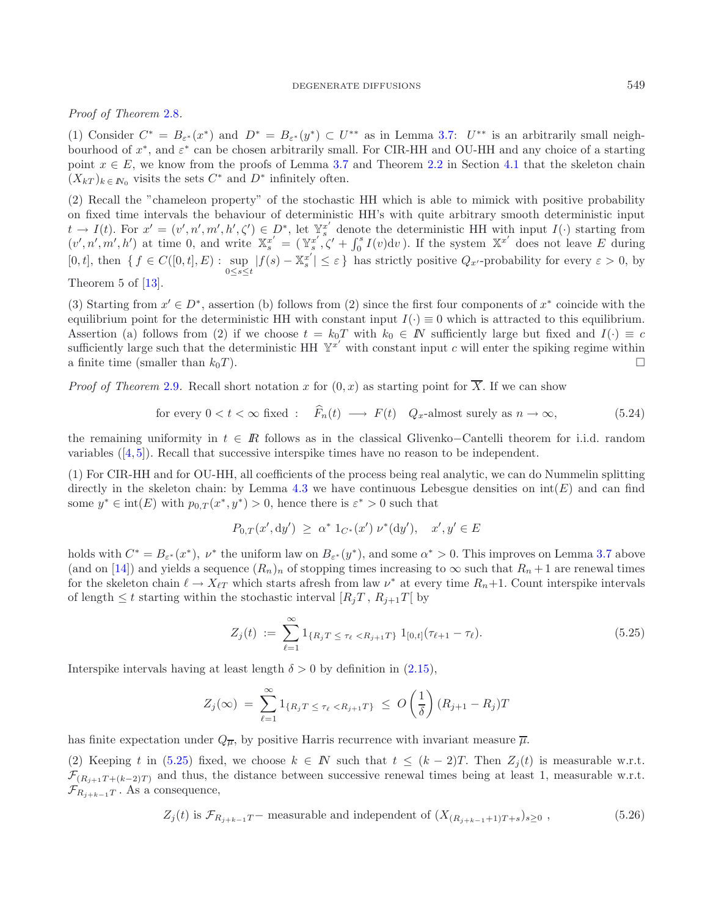### DEGENERATE DIFFUSIONS 549

## *Proof of Theorem* [2.8](#page-8-1)*.*

(1) Consider  $C^* = B_{\varepsilon^*}(x^*)$  and  $D^* = B_{\varepsilon^*}(y^*) \subset U^{**}$  as in Lemma [3.7:](#page-12-0)  $U^{**}$  is an arbitrarily small neighbourhood of  $x^*$ , and  $\varepsilon^*$  can be chosen arbitrarily small. For CIR-HH and OU-HH and any choice of a starting point  $x \in E$ , we know from the proofs of Lemma [3.7](#page-12-0) and Theorem [2.2](#page-4-0) in Section [4.1](#page-14-0) that the skeleton chain  $(X_{kT})_{k \in \mathbb{N}_0}$  visits the sets  $C^*$  and  $D^*$  infinitely often.

(2) Recall the "chameleon property" of the stochastic HH which is able to mimick with positive probability on fixed time intervals the behaviour of deterministic HH's with quite arbitrary smooth deterministic input  $t \to I(t)$ . For  $x' = (v', n', m', h', \zeta') \in D^*$ , let  $\mathbb{Y}_s^{x'}$  denote the deterministic HH with input  $I(\cdot)$  starting from  $(v', n', n', h')$  at time 0, and write  $\mathbb{X}_s^{x'} = (\mathbb{Y}_s^{x'}, \zeta' + \int_0^s I(v) \mathrm{d}v$ . If the system  $\mathbb{X}^{x'}$  does not leave E during [0, t], then  $\{ f \in C([0,t], E) : \sup_{0 \le s \le t} |f(s) - \mathbb{X}_s^{x'}| \le \varepsilon \}$  has strictly positive  $Q_{x'}$ -probability for every  $\varepsilon > 0$ , by

Theorem 5 of [\[13](#page-26-0)].

(3) Starting from  $x' \in D^*$ , assertion (b) follows from (2) since the first four components of  $x^*$  coincide with the equilibrium point for the deterministic HH with constant input  $I(\cdot) \equiv 0$  which is attracted to this equilibrium. Assertion (a) follows from (2) if we choose  $t = k_0T$  with  $k_0 \in \mathbb{N}$  sufficiently large but fixed and  $I(\cdot) \equiv c$ sufficiently large such that the deterministic HH  $Y^{x'}$  with constant input c will enter the spiking regime within a finite time (smaller than  $k_0T$ ).  $\Box$ 

*Proof of Theorem* [2.9](#page-8-0). Recall short notation x for  $(0, x)$  as starting point for  $\overline{X}$ . If we can show

for every 
$$
0 < t < \infty
$$
 fixed :  $\widehat{F}_n(t) \longrightarrow F(t)$   $Q_x$ -almost surely as  $n \to \infty$ , \n
$$
\tag{5.24}
$$

the remaining uniformity in  $t \in \mathbb{R}$  follows as in the classical Glivenko–Cantelli theorem for i.i.d. random variables ([\[4,](#page-26-20) [5\]](#page-26-21)). Recall that successive interspike times have no reason to be independent.

(1) For CIR-HH and for OU-HH, all coefficients of the process being real analytic, we can do Nummelin splitting directly in the skeleton chain: by Lemma [4.3](#page-15-1) we have continuous Lebesgue densities on  $\text{int}(E)$  and can find some  $y^* \in \text{int}(E)$  with  $p_{0,T}(x^*, y^*) > 0$ , hence there is  $\varepsilon^* > 0$  such that

<span id="page-22-0"></span>
$$
P_{0,T}(x',\mathrm{d}y') \geq \alpha^* \, 1_{C^*}(x') \, \nu^*(\mathrm{d}y'), \quad x', y' \in E
$$

<span id="page-22-1"></span>holds with  $C^* = B_{\varepsilon^*}(x^*)$ ,  $\nu^*$  the uniform law on  $B_{\varepsilon^*}(y^*)$ , and some  $\alpha^* > 0$ . This improves on Lemma [3.7](#page-12-0) above (and on [\[14\]](#page-26-1)) and yields a sequence  $(R_n)_n$  of stopping times increasing to  $\infty$  such that  $R_n + 1$  are renewal times for the skeleton chain  $\ell \to X_{\ell T}$  which starts afresh from law  $\nu^*$  at every time  $R_n+1$ . Count interspike intervals of length  $\leq t$  starting within the stochastic interval  $[R_jT, R_{j+1}T]$  by

$$
Z_j(t) := \sum_{\ell=1}^{\infty} 1_{\{R_j T \le \tau_\ell < R_{j+1} T\}} 1_{[0,t]}(\tau_{\ell+1} - \tau_\ell). \tag{5.25}
$$

Interspike intervals having at least length  $\delta > 0$  by definition in [\(2.15\)](#page-8-2).

$$
Z_j(\infty) \ = \ \sum_{\ell=1}^{\infty} 1_{\{R_j T \ \leq \ \tau_{\ell} < R_{j+1} T\}} \ \leq \ O\left(\frac{1}{\delta}\right) (R_{j+1} - R_j) T
$$

has finite expectation under  $Q_{\overline{\mu}}$ , by positive Harris recurrence with invariant measure  $\overline{\mu}$ .

(2) Keeping t in [\(5.25\)](#page-22-0) fixed, we choose  $k \in \mathbb{N}$  such that  $t \leq (k-2)T$ . Then  $Z_j(t)$  is measurable w.r.t.  $\mathcal{F}_{(R_{i+1}T + (k-2)T)}$  and thus, the distance between successive renewal times being at least 1, measurable w.r.t.  $\mathcal{F}_{R_{i+k-1}T}$ . As a consequence,

$$
Z_j(t) \text{ is } \mathcal{F}_{R_{j+k-1}T} - \text{ measurable and independent of } (X_{(R_{j+k-1}+1)T+s})_{s\geq 0}, \qquad (5.26)
$$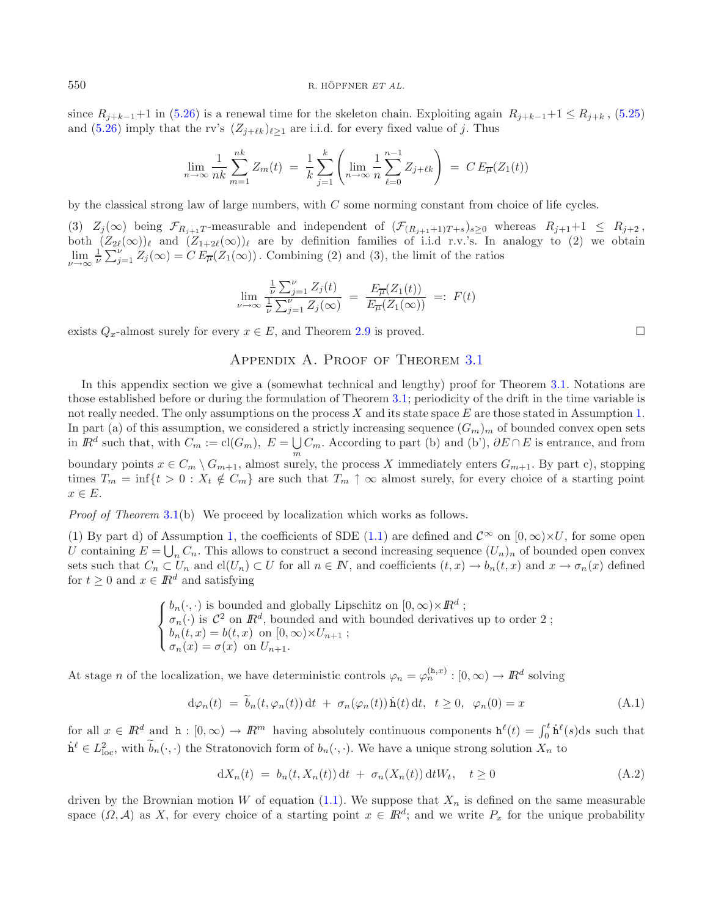since  $R_{j+k-1}+1$  in [\(5.26\)](#page-22-1) is a renewal time for the skeleton chain. Exploiting again  $R_{j+k-1}+1 \leq R_{j+k}$ , [\(5.25\)](#page-22-0) and [\(5.26\)](#page-22-1) imply that the rv's  $(Z_{i+\ell k})_{\ell>1}$  are i.i.d. for every fixed value of j. Thus

$$
\lim_{n \to \infty} \frac{1}{nk} \sum_{m=1}^{nk} Z_m(t) = \frac{1}{k} \sum_{j=1}^{k} \left( \lim_{n \to \infty} \frac{1}{n} \sum_{\ell=0}^{n-1} Z_{j+\ell k} \right) = C E_{\overline{\mu}}(Z_1(t))
$$

by the classical strong law of large numbers, with C some norming constant from choice of life cycles.

(3)  $Z_j(\infty)$  being  $\mathcal{F}_{R_{j+1}T}$ -measurable and independent of  $(\mathcal{F}_{(R_{j+1}+1)T+s})_{s\geq 0}$  whereas  $R_{j+1}+1 \leq R_{j+2}$ , both  $(Z_{2\ell}(\infty))_{\ell}$  and  $(Z_{1+2\ell}(\infty))_{\ell}$  are by definition families of i.i.d r.v.'s. In analogy to (2) we obtain  $\lim_{\nu\to\infty}\frac{1}{\nu}\sum_{j=1}^{\nu}Z_j(\infty)=C E_{\overline{\mu}}(Z_1(\infty)).$  Combining (2) and (3), the limit of the ratios

$$
\lim_{\nu \to \infty} \frac{\frac{1}{\nu} \sum_{j=1}^{\nu} Z_j(t)}{\frac{1}{\nu} \sum_{j=1}^{\nu} Z_j(\infty)} = \frac{E_{\overline{\mu}}(Z_1(t))}{E_{\overline{\mu}}(Z_1(\infty))} =: F(t)
$$

<span id="page-23-0"></span>exists  $Q_x$ -almost surely for every  $x \in E$ , and Theorem [2.9](#page-8-0) is proved.

## APPENDIX A. PROOF OF THEOREM [3.1](#page-9-0)

In this appendix section we give a (somewhat technical and lengthy) proof for Theorem [3.1.](#page-9-0) Notations are those established before or during the formulation of Theorem [3.1;](#page-9-0) periodicity of the drift in the time variable is not really needed. The only assumptions on the process  $X$  and its state space  $E$  are those stated in Assumption [1.](#page-2-0) In part (a) of this assumption, we considered a strictly increasing sequence  $(G_m)_m$  of bounded convex open sets in  $\mathbb{R}^d$  such that, with  $C_m := \text{cl}(G_m)$ ,  $E = \bigcup_m C_m$ . According to part (b) and (b'),  $\partial E \cap E$  is entrance, and from boundary points  $x \in C_m \setminus G_{m+1}$ , almost surely, the process X immediately enters  $G_{m+1}$ . By part c), stopping times  $T_m = \inf\{t > 0 : X_t \notin C_m\}$  are such that  $T_m \uparrow \infty$  almost surely, for every choice of a starting point  $x \in E$ .

*Proof of Theorem* [3.1\(](#page-9-0)b) We proceed by localization which works as follows.

(1) By part d) of Assumption [1,](#page-2-0) the coefficients of SDE [\(1.1\)](#page-0-0) are defined and  $\mathcal{C}^{\infty}$  on  $[0,\infty)\times U$ , for some open U containing  $E = \bigcup_n C_n$ . This allows to construct a second increasing sequence  $(U_n)_n$  of bounded open convex sets such that  $C_n \subset U_n$  and  $\text{cl}(U_n) \subset U$  for all  $n \in \mathbb{N}$ , and coefficients  $(t, x) \to b_n(t, x)$  and  $x \to \sigma_n(x)$  defined for  $t \geq 0$  and  $x \in \mathbb{R}^d$  and satisfying

> $\sqrt{ }$  $\int$  $\overline{\mathcal{L}}$  $b_n(\cdot, \cdot)$  is bounded and globally Lipschitz on  $[0, \infty) \times \mathbb{R}^d$ ;  $\sigma_n(\cdot)$  is  $\mathcal{C}^2$  on  $\mathbb{R}^d$ , bounded and with bounded derivatives up to order 2;  $b_n(t, x) = b(t, x)$  on  $[0, \infty) \times U_{n+1}$ ;  $\sigma_n(x) = \sigma(x)$  on  $U_{n+1}$ .

At stage n of the localization, we have deterministic controls  $\varphi_n = \varphi_n^{(h,x)} : [0,\infty) \to \mathbb{R}^d$  solving

$$
d\varphi_n(t) = \tilde{b}_n(t, \varphi_n(t)) dt + \sigma_n(\varphi_n(t)) \dot{h}(t) dt, \quad t \ge 0, \quad \varphi_n(0) = x \tag{A.1}
$$

for all  $x \in \mathbb{R}^d$  and  $h: [0, \infty) \to \mathbb{R}^m$  having absolutely continuous components  $h^{\ell}(t) = \int_0^t h^{\ell}(s)ds$  such that  $\dot{h}^{\ell} \in L^2_{loc}$ , with  $\widetilde{b}_n(\cdot,\cdot)$  the Stratonovich form of  $b_n(\cdot,\cdot)$ . We have a unique strong solution  $X_n$  to

$$
dX_n(t) = b_n(t, X_n(t)) dt + \sigma_n(X_n(t)) dW_t, \quad t \ge 0
$$
\n(A.2)

driven by the Brownian motion W of equation [\(1.1\)](#page-0-0). We suppose that  $X_n$  is defined on the same measurable space  $(\Omega, \mathcal{A})$  as X, for every choice of a starting point  $x \in \mathbb{R}^d$ ; and we write  $P_x$  for the unique probability

<span id="page-23-2"></span><span id="page-23-1"></span> $\Box$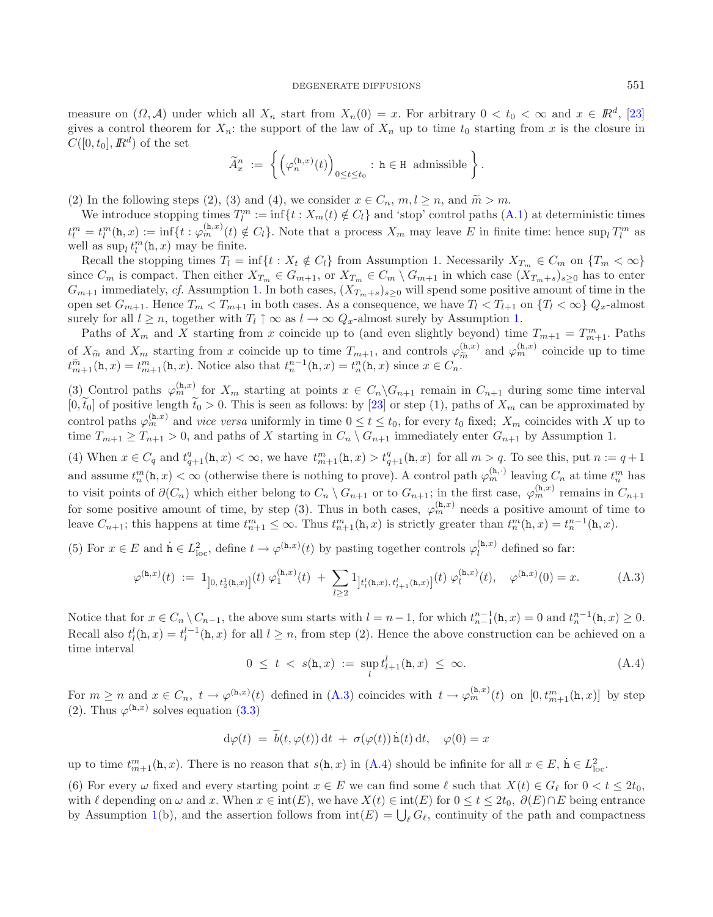measure on  $(\Omega, \mathcal{A})$  under which all  $X_n$  start from  $X_n(0) = x$ . For arbitrary  $0 < t_0 < \infty$  and  $x \in \mathbb{R}^d$ , [\[23\]](#page-26-14) gives a control theorem for  $X_n$ : the support of the law of  $X_n$  up to time  $t_0$  starting from x is the closure in  $C([0, t_0], I\!\!R^d)$  of the set

<span id="page-24-0"></span>
$$
\widetilde{A}_x^n := \left\{ \left( \varphi_n^{(\mathtt{h},x)}(t) \right)_{0 \le t \le t_0} : \mathtt{h} \in \mathtt{H} \text{ admissible} \right\}.
$$

(2) In the following steps (2), (3) and (4), we consider  $x \in C_n$ ,  $m, l \geq n$ , and  $\widetilde{m} > m$ .

We introduce stopping times  $T_l^m := \inf\{t : X_m(t) \notin C_l\}$  and 'stop' control paths  $(A.1)$  at deterministic times  $t_l^m = t_l^m(\mathbf{h},x) := \inf\{t : \varphi_m^{(\mathbf{h},x)}(t) \notin C_l\}.$  Note that a process  $X_m$  may leave E in finite time: hence  $\sup_l T_l^m$  as well as  $\sup_l t_l^m(\mathbf{h}, x)$  may be finite.

Recall the stopping times  $T_l = \inf\{t : X_t \notin C_l\}$  from Assumption [1.](#page-2-0) Necessarily  $X_{T_m} \in C_m$  on  $\{T_m < \infty\}$ since  $C_m$  is compact. Then either  $X_{T_m} \in G_{m+1}$ , or  $X_{T_m} \in C_m \setminus G_{m+1}$  in which case  $(X_{T_m+s})_{s>0}$  has to enter  $G_{m+1}$  immediately, *cf.* Assumption [1.](#page-2-0) In both cases,  $(X_{T_m+s})_{s>0}$  will spend some positive amount of time in the open set  $G_{m+1}$ . Hence  $T_m < T_{m+1}$  in both cases. As a consequence, we have  $T_l < T_{l+1}$  on  $\{T_l < \infty\}$   $Q_x$ -almost surely for all  $l \geq n$ , together with  $T_l \uparrow \infty$  as  $l \to \infty$   $Q_x$ -almost surely by Assumption [1.](#page-2-0)

Paths of  $X_m$  and X starting from x coincide up to (and even slightly beyond) time  $T_{m+1} = T_{m+1}^m$ . Paths of  $X_{\widetilde{m}}$  and  $X_m$  starting from x coincide up to time  $T_{m+1}$ , and controls  $\varphi_{\widetilde{m}}^{(\mathtt{h},x)}$  and  $\varphi_{m}^{(\mathtt{h},x)}$  coincide up to time  $t^{\widetilde{m}}$  (h, x)  $-t^m$  (h, x) Notice also that  $t^{n-1}$ (h, x)  $-t^n$ (h, x  $t_{m+1}^{\widetilde{m}}(\mathbf{h},x) = t_{m+1}^m(\mathbf{h},x)$ . Notice also that  $t_n^{n-1}(\mathbf{h},x) = t_n^n(\mathbf{h},x)$  since  $x \in C_n$ .

(3) Control paths  $\varphi_m^{(h,x)}$  for  $X_m$  starting at points  $x \in C_n \backslash G_{n+1}$  remain in  $C_{n+1}$  during some time interval  $[0, \tilde{t}_0]$  of positive length  $\tilde{t}_0 > 0$ . This is seen as follows: by [\[23\]](#page-26-14) or step (1), paths of  $X_m$  can be approximated by control paths  $\varphi_m^{(h,x)}$  and *vice versa* uniformly in time  $0 \le t \le t_0$ , for every  $t_0$  fixed;  $X_m$  coincides with X up to time  $T_{m+1} \geq T_{n+1} > 0$ , and paths of X starting in  $C_n \setminus G_{n+1}$  immediately enter  $G_{n+1}$  by Assumption 1.

<span id="page-24-1"></span>(4) When  $x \in C_q$  and  $t_{q+1}^q(\mathbf{h}, x) < \infty$ , we have  $t_{m+1}^m(\mathbf{h}, x) > t_{q+1}^q(\mathbf{h}, x)$  for all  $m > q$ . To see this, put  $n := q+1$ and assume  $t_n^m(\mathbf{h},x) < \infty$  (otherwise there is nothing to prove). A control path  $\varphi_m^{(\mathbf{h},\cdot)}$  leaving  $C_n$  at time  $t_n^m$  has to visit points of  $\partial(C_n)$  which either belong to  $C_n \setminus G_{n+1}$  or to  $G_{n+1}$ ; in the first case,  $\varphi_m^{(h,x)}$  remains in  $C_{n+1}$ for some positive amount of time, by step (3). Thus in both cases,  $\varphi_m^{(h,x)}$  needs a positive amount of time to leave  $C_{n+1}$ ; this happens at time  $t_{n+1}^m \leq \infty$ . Thus  $t_{n+1}^m(\mathbf{h}, x)$  is strictly greater than  $t_n^m(\mathbf{h}, x) = t_n^{n-1}(\mathbf{h}, x)$ .

(5) For  $x \in E$  and  $\dot{h} \in L^2_{loc}$ , define  $t \to \varphi^{(h,x)}(t)$  by pasting together controls  $\varphi^{(h,x)}_l$  defined so far:

$$
\varphi^{(\mathbf{h},x)}(t) := 1_{\left]0,\,t_2^1(\mathbf{h},x)\right]}(t)\,\varphi^{(\mathbf{h},x)}_1(t) + \sum_{l\geq 2} 1_{\left]t_l^l(\mathbf{h},x),\,t_{l+1}^l(\mathbf{h},x)\right]}(t)\,\varphi^{(\mathbf{h},x)}_l(t), \quad \varphi^{(\mathbf{h},x)}(0) = x. \tag{A.3}
$$

Notice that for  $x \in C_n \setminus C_{n-1}$ , the above sum starts with  $l = n-1$ , for which  $t_{n-1}^{n-1}(\mathbf{h}, x) = 0$  and  $t_n^{n-1}(\mathbf{h}, x) \geq 0$ . Recall also  $t_l^l(\mathbf{h}, x) = t_l^{l-1}(\mathbf{h}, x)$  for all  $l \geq n$ , from step (2). Hence the above construction can be achieved on a time interval

$$
0 \le t < s(\mathbf{h}, x) := \sup_{l} t^{l}_{l+1}(\mathbf{h}, x) \le \infty. \tag{A.4}
$$

For  $m \geq n$  and  $x \in C_n$ ,  $t \to \varphi^{(h,x)}(t)$  defined in  $(A.3)$  coincides with  $t \to \varphi^{(h,x)}_m(t)$  on  $[0, t^m_{m+1}(h,x)]$  by step (2). Thus  $\varphi^{(h,x)}$  solves equation [\(3.3\)](#page-9-5)

$$
d\varphi(t) = \widetilde{b}(t, \varphi(t)) dt + \sigma(\varphi(t)) \dot{h}(t) dt, \varphi(0) = x
$$

up to time  $t_{m+1}^m(h, x)$ . There is no reason that  $s(h, x)$  in  $(A.4)$  should be infinite for all  $x \in E$ ,  $h \in L^2_{loc}$ .

(6) For every  $\omega$  fixed and every starting point  $x \in E$  we can find some  $\ell$  such that  $X(t) \in G_{\ell}$  for  $0 < t \leq 2t_0$ , with  $\ell$  depending on  $\omega$  and x. When  $x \in \text{int}(E)$ , we have  $X(t) \in \text{int}(E)$  for  $0 \le t \le 2t_0$ ,  $\partial(E) \cap E$  being entrance by Assumption [1\(](#page-2-0)b), and the assertion follows from  $\text{int}(E) = \bigcup_{\ell} G_{\ell}$ , continuity of the path and compactness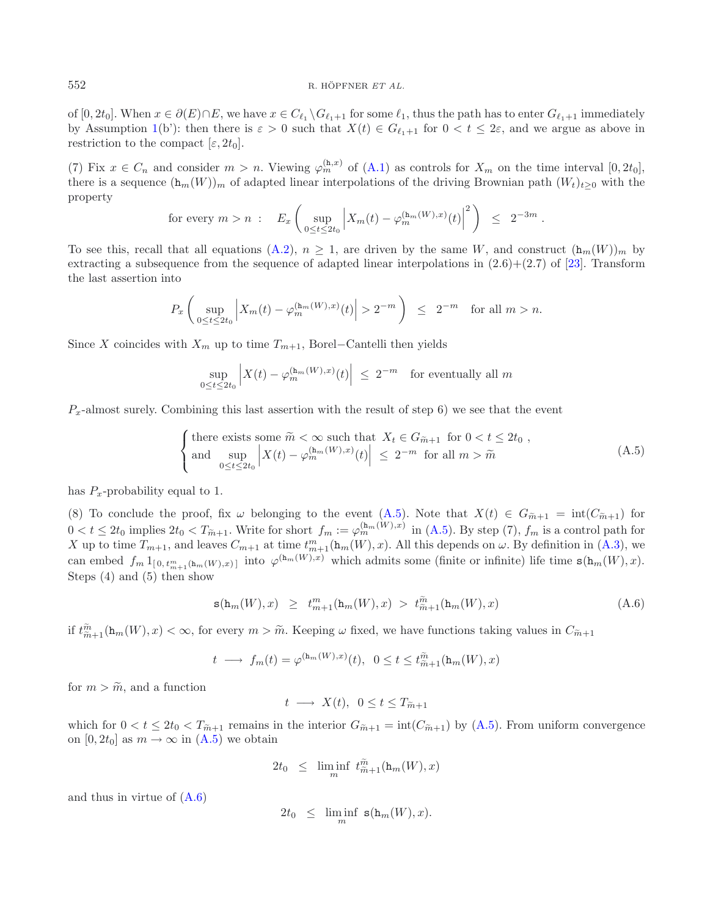of [0, 2t<sub>0</sub>]. When  $x \in \partial(E) \cap E$ , we have  $x \in C_{\ell_1} \backslash G_{\ell_1+1}$  for some  $\ell_1$ , thus the path has to enter  $G_{\ell_1+1}$  immediately by Assumption [1\(](#page-2-0)b'): then there is  $\varepsilon > 0$  such that  $X(t) \in G_{\ell_1+1}$  for  $0 < t \leq 2\varepsilon$ , and we argue as above in restriction to the compact  $[\varepsilon, 2t_0]$ .

(7) Fix  $x \in C_n$  and consider  $m > n$ . Viewing  $\varphi_m^{(h,x)}$  of  $(A.1)$  as controls for  $X_m$  on the time interval  $[0, 2t_0]$ , there is a sequence  $(\mathbf{h}_m(W))_m$  of adapted linear interpolations of the driving Brownian path  $(W_t)_{t\geq0}$  with the property

$$
\text{for every } m > n \; : \quad E_x \left( \sup_{0 \le t \le 2t_0} \left| X_m(t) - \varphi_m^{(\ln_m(W),x)}(t) \right|^2 \right) \; \le \; 2^{-3m} \; .
$$

To see this, recall that all equations [\(A.2\)](#page-23-2),  $n \geq 1$ , are driven by the same W, and construct  $(\mathbf{h}_m(W))_m$  by extracting a subsequence from the sequence of adapted linear interpolations in  $(2.6)+(2.7)$  of [\[23](#page-26-14)]. Transform the last assertion into

$$
P_x\left(\sup_{0\leq t\leq 2t_0}\left|X_m(t)-\varphi_m^{(\mathtt{h}_m(W),x)}(t)\right|>2^{-m}\right) \leq 2^{-m} \quad \text{for all } m>n.
$$

Since X coincides with  $X_m$  up to time  $T_{m+1}$ , Borel–Cantelli then yields

<span id="page-25-0"></span>
$$
\sup_{0 \le t \le 2t_0} \left| X(t) - \varphi_m^{(\mathbf{h}_m(W), x)}(t) \right| \le 2^{-m} \quad \text{for eventually all } m
$$

 $P_x$ -almost surely. Combining this last assertion with the result of step 6) we see that the event

<span id="page-25-1"></span>
$$
\begin{cases}\n\text{there exists some } \widetilde{m} < \infty \text{ such that } X_t \in G_{\widetilde{m}+1} \text{ for } 0 < t \le 2t_0, \\
\text{and } \sup_{0 \le t \le 2t_0} \left| X(t) - \varphi_m^{(\mathbf{h}_m(W), x)}(t) \right| \le 2^{-m} \text{ for all } m > \widetilde{m}\n\end{cases} \tag{A.5}
$$

has  $P_x$ -probability equal to 1.

(8) To conclude the proof, fix  $\omega$  belonging to the event [\(A.5\)](#page-25-0). Note that  $X(t) \in G_{m+1} = \text{int}(C_{m+1})$  for  $0 < t \leq 2t_0$  implies  $2t_0 < T_{\tilde{m}+1}$ . Write for short  $f_m := \varphi_m^{(\mathbf{h}_m(W),x)}$  in [\(A.5\)](#page-25-0). By step (7),  $f_m$  is a control path for X up to time  $T_{m+1}$ , and leaves  $C_{m+1}$  at time  $t_{m+1}^m(\mathbf{h}_m(W),x)$ . All this depends on  $\omega$ . By definition in  $(A.3)$ , we can embed  $f_m 1_{[0, t_{m+1}^m(\mathbf{h}_m(W), x)]}$  into  $\varphi^{(\mathbf{h}_m(W), x)}$  which admits some (finite or infinite) life time  $\mathbf{s}(\mathbf{h}_m(W), x)$ . Steps (4) and (5) then show

$$
\mathbf{s}(\mathbf{h}_m(W), x) \ge t_{m+1}^m(\mathbf{h}_m(W), x) > t_{m+1}^{\tilde{m}}(\mathbf{h}_m(W), x) \tag{A.6}
$$

if  $t_{\tilde{m}+1}^{\tilde{m}}(\mathbf{h}_m(W),x)<\infty$ , for every  $m>\tilde{m}$ . Keeping  $\omega$  fixed, we have functions taking values in  $C_{\tilde{m}+1}$ 

$$
t \longrightarrow f_m(t) = \varphi^{(\mathbf{h}_m(W),x)}(t), \ \ 0 \le t \le t_{m+1}^{\widetilde{m}}(\mathbf{h}_m(W),x)
$$

for  $m > \tilde{m}$ , and a function

 $t \longrightarrow X(t), \ \ 0 \leq t \leq T_{\widetilde{m}+1}$ 

which for  $0 < t \leq 2t_0 < T_{m+1}$  remains in the interior  $G_{m+1} = \text{int}(C_{m+1})$  by  $(A.5)$ . From uniform convergence on  $[0, 2t_0]$  as  $m \to \infty$  in  $(A.5)$  we obtain

$$
2t_0 \leq \liminf_m t_{\widetilde{m}+1}^{\widetilde{m}}(\mathbf{h}_m(W),x)
$$

and thus in virtue of [\(A.6\)](#page-25-1)

$$
2t_0 \leq \liminf_m \, \mathbf{s}(\mathbf{h}_m(W), x).
$$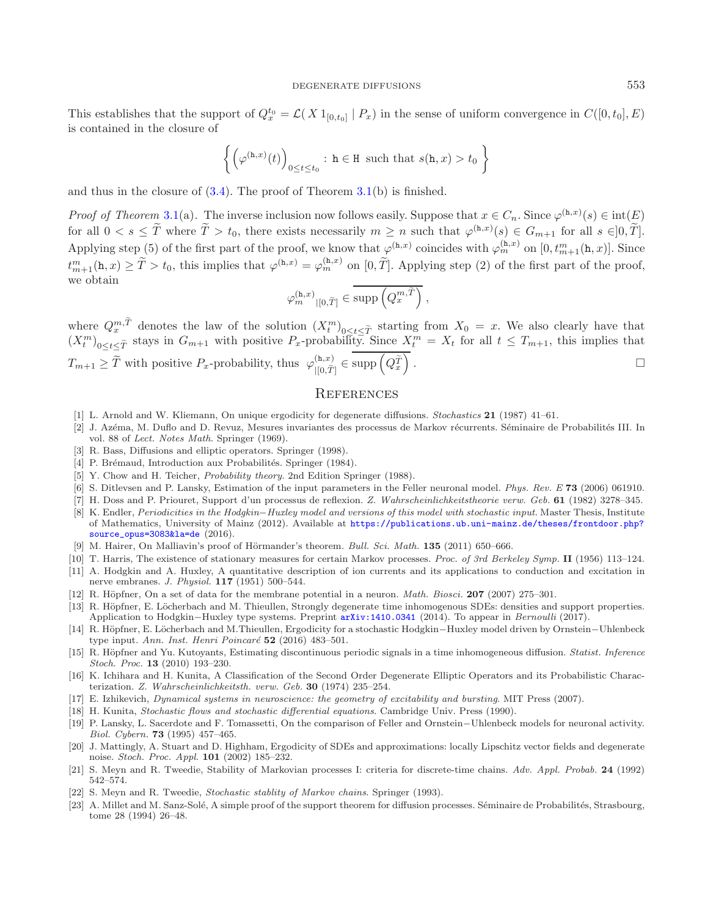This establishes that the support of  $Q_x^{t_0} = \mathcal{L}(X 1_{[0,t_0]} | P_x)$  in the sense of uniform convergence in  $C([0,t_0], E)$ is contained in the closure of

$$
\left\{ \left( \varphi^{(\mathtt{h},x)}(t) \right)_{0 \le t \le t_0} : \mathtt{h} \in \mathtt{H} \text{ such that } s(\mathtt{h},x) > t_0 \right\}
$$

and thus in the closure of  $(3.4)$ . The proof of Theorem  $3.1(b)$  $3.1(b)$  is finished.

*Proof of Theorem* [3.1\(](#page-9-0)a). The inverse inclusion now follows easily. Suppose that  $x \in C_n$ . Since  $\varphi^{(h,x)}(s) \in \text{int}(E)$ for all  $0 < s \leq \tilde{T}$  where  $\tilde{T} > t_0$ , there exists necessarily  $m \geq n$  such that  $\varphi^{(h,x)}(s) \in G_{m+1}$  for all  $s \in ]0, \tilde{T}].$ Applying step (5) of the first part of the proof, we know that  $\varphi^{(h,x)}$  coincides with  $\varphi^{(h,x)}_m$  on  $[0,t^m_{m+1}(h,x)]$ . Since  $t_{m+1}^m(\mathbf{h},x) \geq \tilde{T} > t_0$ , this implies that  $\varphi^{(\mathbf{h},x)} = \varphi^{(\mathbf{h},x)}_m$  on  $[0,\tilde{T}]$ . Applying step (2) of the first part of the proof, we obtain

$$
\varphi_m^{(\mathbf{h},x)}|_{[0,\widetilde{T}]} \in \text{supp}\left(Q_x^{m,\widetilde{T}}\right),
$$

where  $Q_x^{m,\tilde{T}}$  denotes the law of the solution  $(X_t^m)_{0 \le t \le \tilde{T}}$  starting from  $X_0 = x$ . We also clearly have that  $(X_t^m)$  $(X_t^m)_{0 \le t \le \tilde{T}}$  stays in  $G_{m+1}$  with positive  $P_x$ -probability. Since  $X_t^m = X_t$  for all  $t \le T_{m+1}$ , this implies that  $T_{m+1} \geq \tilde{T}$  with positive  $P_x$ -probability, thus  $\varphi_{|[0,\tilde{T}]}^{(\mathbf{h},x)} \in \text{supp}\left(Q_x^{\tilde{T}}\right)$ . The contract of the contract of  $\Box$  $\Box$ 

## **REFERENCES**

- <span id="page-26-15"></span>[1] L. Arnold and W. Kliemann, On unique ergodicity for degenerate diffusions. Stochastics **21** (1987) 41–61.
- <span id="page-26-3"></span>[2] J. Azéma, M. Duflo and D. Revuz, Mesures invariantes des processus de Markov récurrents. Séminaire de Probabilités III. In vol. 88 of Lect. Notes Math. Springer (1969).
- <span id="page-26-13"></span>[3] R. Bass, Diffusions and elliptic operators. Springer (1998).
- <span id="page-26-20"></span>[4] P. Brémaud, Introduction aux Probabilités. Springer (1984).
- <span id="page-26-21"></span>[5] Y. Chow and H. Teicher, *Probability theory*. 2nd Edition Springer (1988).
- <span id="page-26-10"></span>[6] S. Ditlevsen and P. Lansky, Estimation of the input parameters in the Feller neuronal model. Phys. Rev. E **73** (2006) 061910.
- <span id="page-26-16"></span>[7] H. Doss and P. Priouret, Support d'un processus de reflexion. Z. Wahrscheinlichkeitstheorie verw. Geb. **61** (1982) 3278–345.
- <span id="page-26-8"></span>[8] K. Endler, Periodicities in the Hodgkin–Huxley model and versions of this model with stochastic input. Master Thesis, Institute of Mathematics, University of Mainz (2012). Available at [https://publications.ub.uni-mainz.de/theses/frontdoor.php?](https://publications.ub.uni-mainz.de/theses/frontdoor.php?source_opus=3083&la=de) [source\\_opus=3083&la=de](https://publications.ub.uni-mainz.de/theses/frontdoor.php?source_opus=3083&la=de) (2016).
- [9] M. Hairer, On Malliavin's proof of Hörmander's theorem. Bull. Sci. Math. **135** (2011) 650–666.
- <span id="page-26-17"></span><span id="page-26-2"></span>[10] T. Harris, The existence of stationary measures for certain Markov processes. Proc. of 3rd Berkeley Symp. **II** (1956) 113–124.
- <span id="page-26-6"></span>[11] A. Hodgkin and A. Huxley, A quantitative description of ion currents and its applications to conduction and excitation in nerve embranes. J. Physiol. **117** (1951) 500–544.
- <span id="page-26-11"></span>[12] R. Höpfner, On a set of data for the membrane potential in a neuron. *Math. Biosci.* **207** (2007) 275–301.
- <span id="page-26-0"></span>[13] R. Höpfner, E. Löcherbach and M. Thieullen, Strongly degenerate time inhomogenous SDEs: densities and support properties. Application to Hodgkin–Huxley type systems. Preprint [arXiv:1410.0341](http://arxiv.org/abs/1410.0341) (2014). To appear in Bernoulli (2017).
- <span id="page-26-1"></span>[14] R. H¨opfner, E. L¨ocherbach and M.Thieullen, Ergodicity for a stochastic Hodgkin−Huxley model driven by Ornstein−Uhlenbeck type input. Ann. Inst. Henri Poincaré **52** (2016) 483-501.
- <span id="page-26-5"></span>[15] R. Höpfner and Yu. Kutoyants, Estimating discontinuous periodic signals in a time inhomogeneous diffusion. Statist. Inference Stoch. Proc. **13** (2010) 193–230.
- <span id="page-26-18"></span>[16] K. Ichihara and H. Kunita, A Classification of the Second Order Degenerate Elliptic Operators and its Probabilistic Characterization. Z. Wahrscheinlichkeitsth. verw. Geb. **30** (1974) 235–254.
- <span id="page-26-7"></span>[17] E. Izhikevich, Dynamical systems in neuroscience: the geometry of excitability and bursting. MIT Press (2007).
- <span id="page-26-12"></span>[18] H. Kunita, Stochastic flows and stochastic differential equations. Cambridge Univ. Press (1990).
- <span id="page-26-9"></span>[19] P. Lansky, L. Sacerdote and F. Tomassetti, On the comparison of Feller and Ornstein−Uhlenbeck models for neuronal activity. Biol. Cybern. **73** (1995) 457–465.
- <span id="page-26-19"></span>[20] J. Mattingly, A. Stuart and D. Highham, Ergodicity of SDEs and approximations: locally Lipschitz vector fields and degenerate noise. Stoch. Proc. Appl. **101** (2002) 185–232.
- <span id="page-26-4"></span>[21] S. Meyn and R. Tweedie, Stability of Markovian processes I: criteria for discrete-time chains. Adv. Appl. Probab. **24** (1992) 542–574.
- [22] S. Meyn and R. Tweedie, Stochastic stablity of Markov chains. Springer (1993).
- <span id="page-26-14"></span>[23] A. Millet and M. Sanz-Solé, A simple proof of the support theorem for diffusion processes. Séminaire de Probabilités, Strasbourg, tome 28 (1994) 26–48.